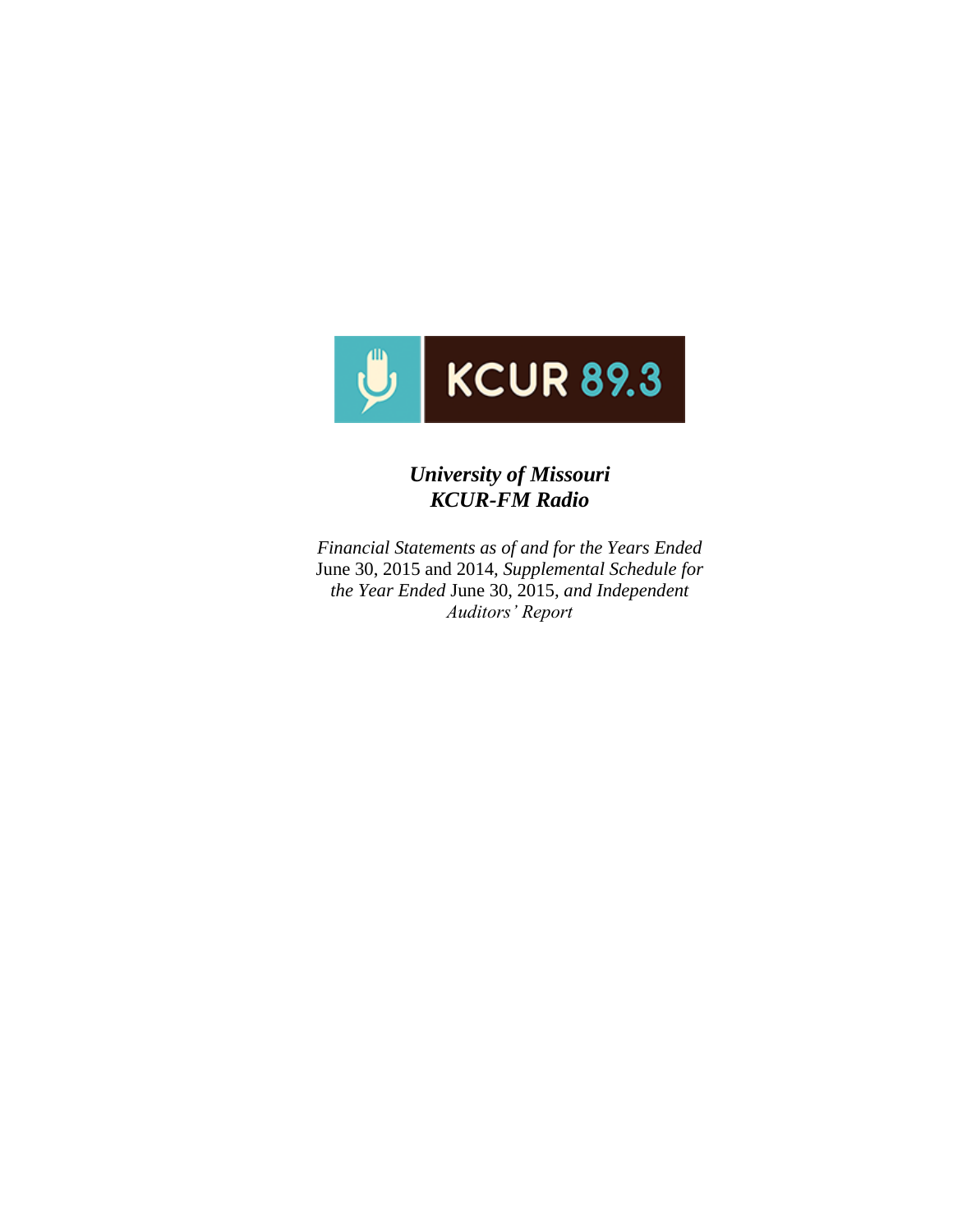

# *University of Missouri KCUR-FM Radio*

*Financial Statements as of and for the Years Ended* June 30, 2015 and 2014*, Supplemental Schedule for the Year Ended* June 30, 2015*, and Independent Auditors' Report*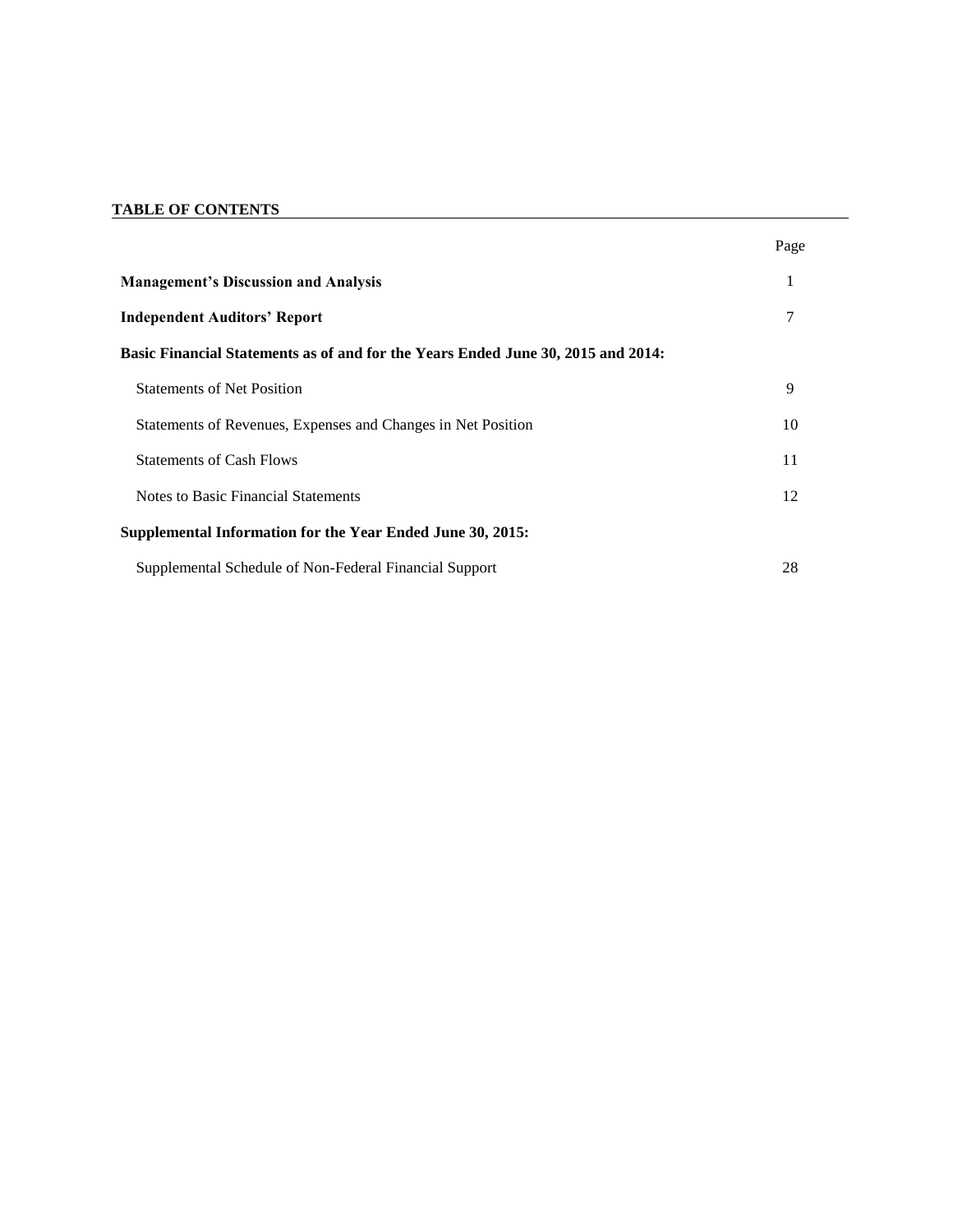#### **TABLE OF CONTENTS**

|                                                                                  | Page |  |  |  |
|----------------------------------------------------------------------------------|------|--|--|--|
| <b>Management's Discussion and Analysis</b><br><b>Statements of Net Position</b> |      |  |  |  |
| <b>Independent Auditors' Report</b>                                              | 7    |  |  |  |
| Basic Financial Statements as of and for the Years Ended June 30, 2015 and 2014: |      |  |  |  |
|                                                                                  | 9    |  |  |  |
| Statements of Revenues, Expenses and Changes in Net Position                     | 10   |  |  |  |
| <b>Statements of Cash Flows</b>                                                  | 11   |  |  |  |
| Notes to Basic Financial Statements                                              | 12   |  |  |  |
| Supplemental Information for the Year Ended June 30, 2015:                       |      |  |  |  |
| Supplemental Schedule of Non-Federal Financial Support                           | 28   |  |  |  |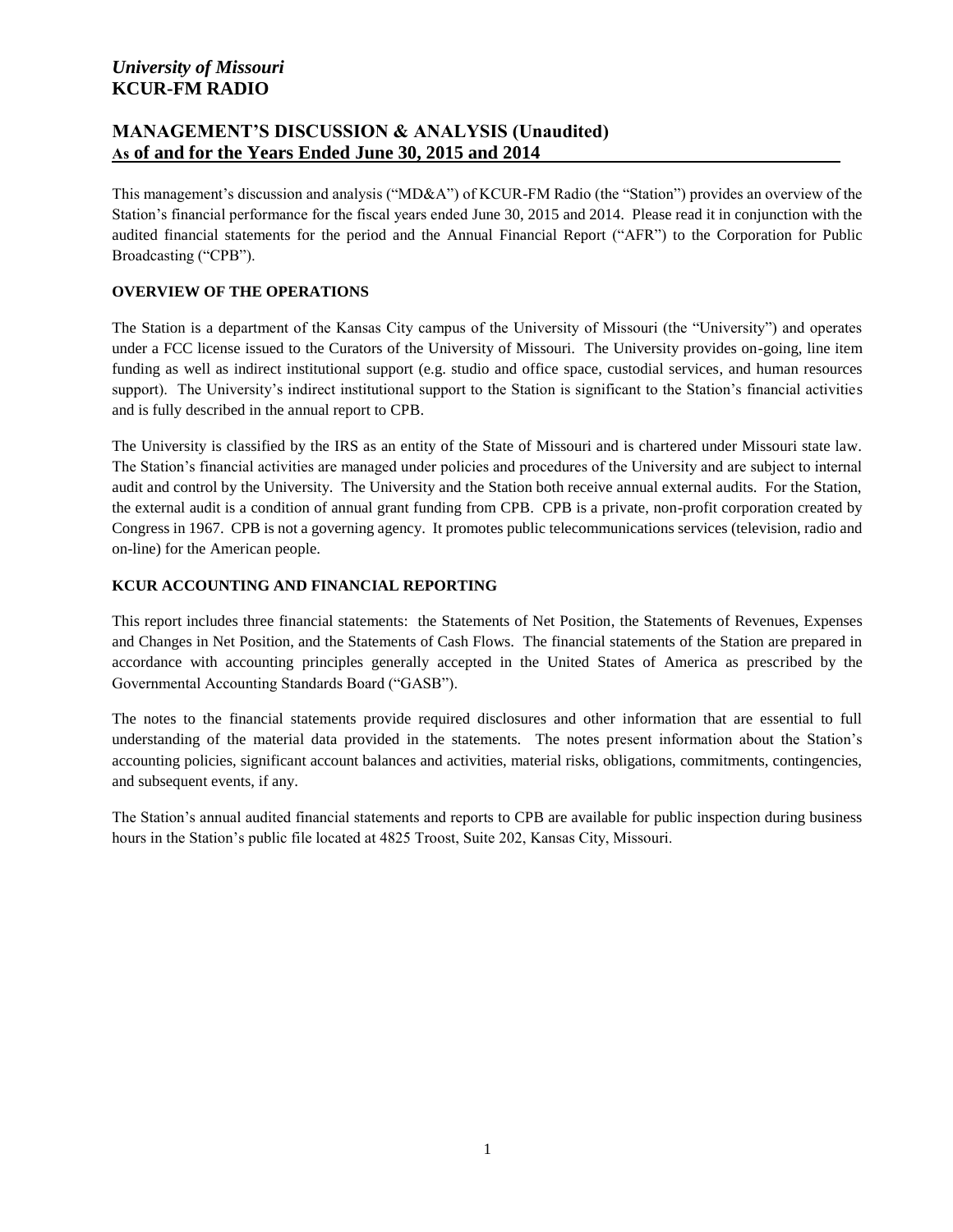### **MANAGEMENT'S DISCUSSION & ANALYSIS (Unaudited) As of and for the Years Ended June 30, 2015 and 2014**

This management's discussion and analysis ("MD&A") of KCUR-FM Radio (the "Station") provides an overview of the Station's financial performance for the fiscal years ended June 30, 2015 and 2014. Please read it in conjunction with the audited financial statements for the period and the Annual Financial Report ("AFR") to the Corporation for Public Broadcasting ("CPB").

#### **OVERVIEW OF THE OPERATIONS**

The Station is a department of the Kansas City campus of the University of Missouri (the "University") and operates under a FCC license issued to the Curators of the University of Missouri. The University provides on-going, line item funding as well as indirect institutional support (e.g. studio and office space, custodial services, and human resources support). The University's indirect institutional support to the Station is significant to the Station's financial activities and is fully described in the annual report to CPB.

The University is classified by the IRS as an entity of the State of Missouri and is chartered under Missouri state law. The Station's financial activities are managed under policies and procedures of the University and are subject to internal audit and control by the University. The University and the Station both receive annual external audits. For the Station, the external audit is a condition of annual grant funding from CPB. CPB is a private, non-profit corporation created by Congress in 1967. CPB is not a governing agency. It promotes public telecommunications services (television, radio and on-line) for the American people.

#### **KCUR ACCOUNTING AND FINANCIAL REPORTING**

This report includes three financial statements: the Statements of Net Position, the Statements of Revenues, Expenses and Changes in Net Position, and the Statements of Cash Flows. The financial statements of the Station are prepared in accordance with accounting principles generally accepted in the United States of America as prescribed by the Governmental Accounting Standards Board ("GASB").

The notes to the financial statements provide required disclosures and other information that are essential to full understanding of the material data provided in the statements. The notes present information about the Station's accounting policies, significant account balances and activities, material risks, obligations, commitments, contingencies, and subsequent events, if any.

The Station's annual audited financial statements and reports to CPB are available for public inspection during business hours in the Station's public file located at 4825 Troost, Suite 202, Kansas City, Missouri.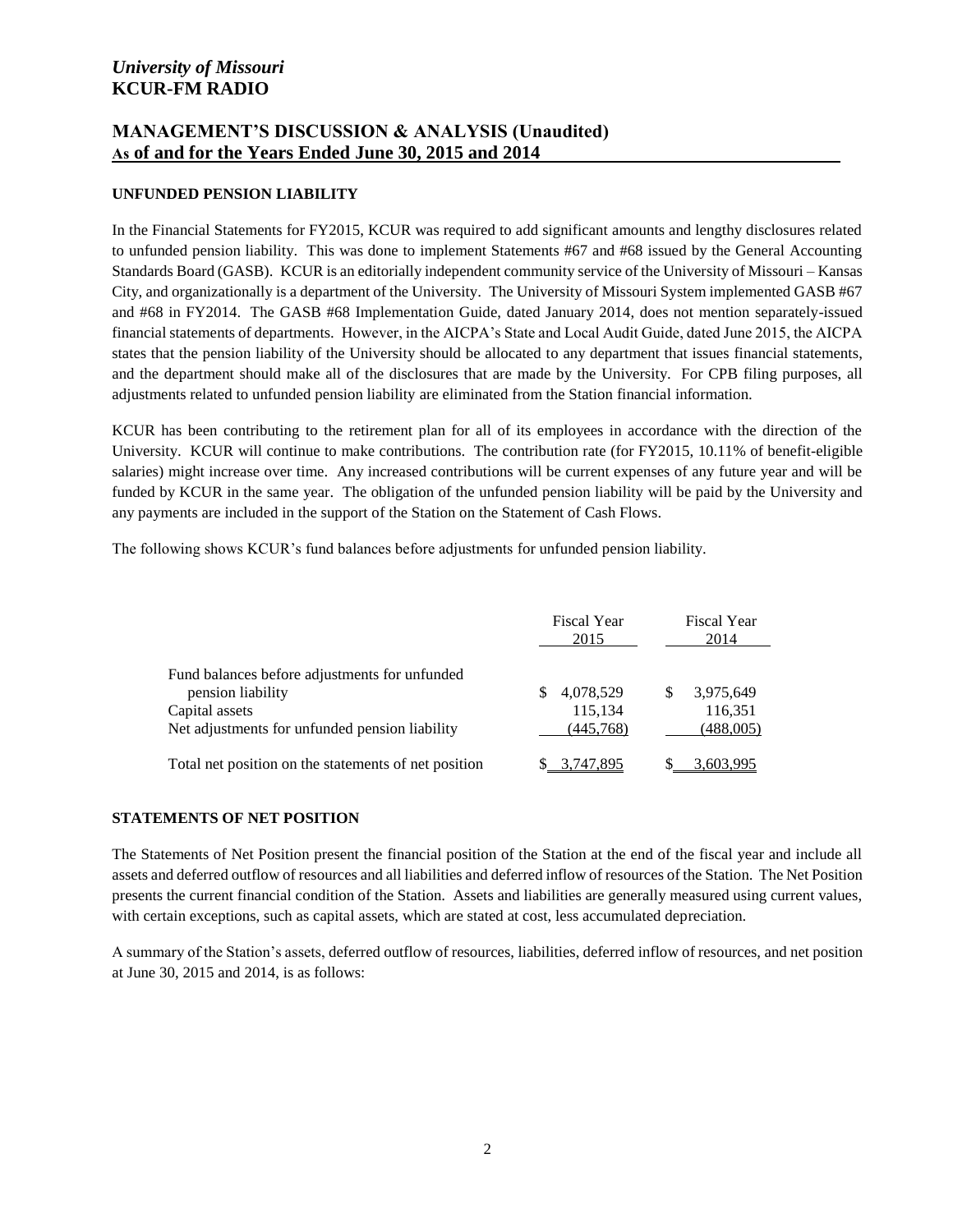### **MANAGEMENT'S DISCUSSION & ANALYSIS (Unaudited) As of and for the Years Ended June 30, 2015 and 2014**

#### **UNFUNDED PENSION LIABILITY**

In the Financial Statements for FY2015, KCUR was required to add significant amounts and lengthy disclosures related to unfunded pension liability. This was done to implement Statements #67 and #68 issued by the General Accounting Standards Board (GASB). KCUR is an editorially independent community service of the University of Missouri – Kansas City, and organizationally is a department of the University. The University of Missouri System implemented GASB #67 and #68 in FY2014. The GASB #68 Implementation Guide, dated January 2014, does not mention separately-issued financial statements of departments. However, in the AICPA's State and Local Audit Guide, dated June 2015, the AICPA states that the pension liability of the University should be allocated to any department that issues financial statements, and the department should make all of the disclosures that are made by the University. For CPB filing purposes, all adjustments related to unfunded pension liability are eliminated from the Station financial information.

KCUR has been contributing to the retirement plan for all of its employees in accordance with the direction of the University. KCUR will continue to make contributions. The contribution rate (for FY2015, 10.11% of benefit-eligible salaries) might increase over time. Any increased contributions will be current expenses of any future year and will be funded by KCUR in the same year. The obligation of the unfunded pension liability will be paid by the University and any payments are included in the support of the Station on the Statement of Cash Flows.

The following shows KCUR's fund balances before adjustments for unfunded pension liability.

|                                                      | <b>Fiscal Year</b><br>2015 | <b>Fiscal Year</b><br>2014 |
|------------------------------------------------------|----------------------------|----------------------------|
| Fund balances before adjustments for unfunded        |                            |                            |
| pension liability                                    | 4,078,529<br>S.            | 3,975,649<br>S             |
| Capital assets                                       | 115,134                    | 116,351                    |
| Net adjustments for unfunded pension liability       | (445,768)                  | (488,005)                  |
| Total net position on the statements of net position | 3,747,895                  | 3,603,995                  |

#### **STATEMENTS OF NET POSITION**

The Statements of Net Position present the financial position of the Station at the end of the fiscal year and include all assets and deferred outflow of resources and all liabilities and deferred inflow of resources of the Station. The Net Position presents the current financial condition of the Station. Assets and liabilities are generally measured using current values, with certain exceptions, such as capital assets, which are stated at cost, less accumulated depreciation.

A summary of the Station's assets, deferred outflow of resources, liabilities, deferred inflow of resources, and net position at June 30, 2015 and 2014, is as follows: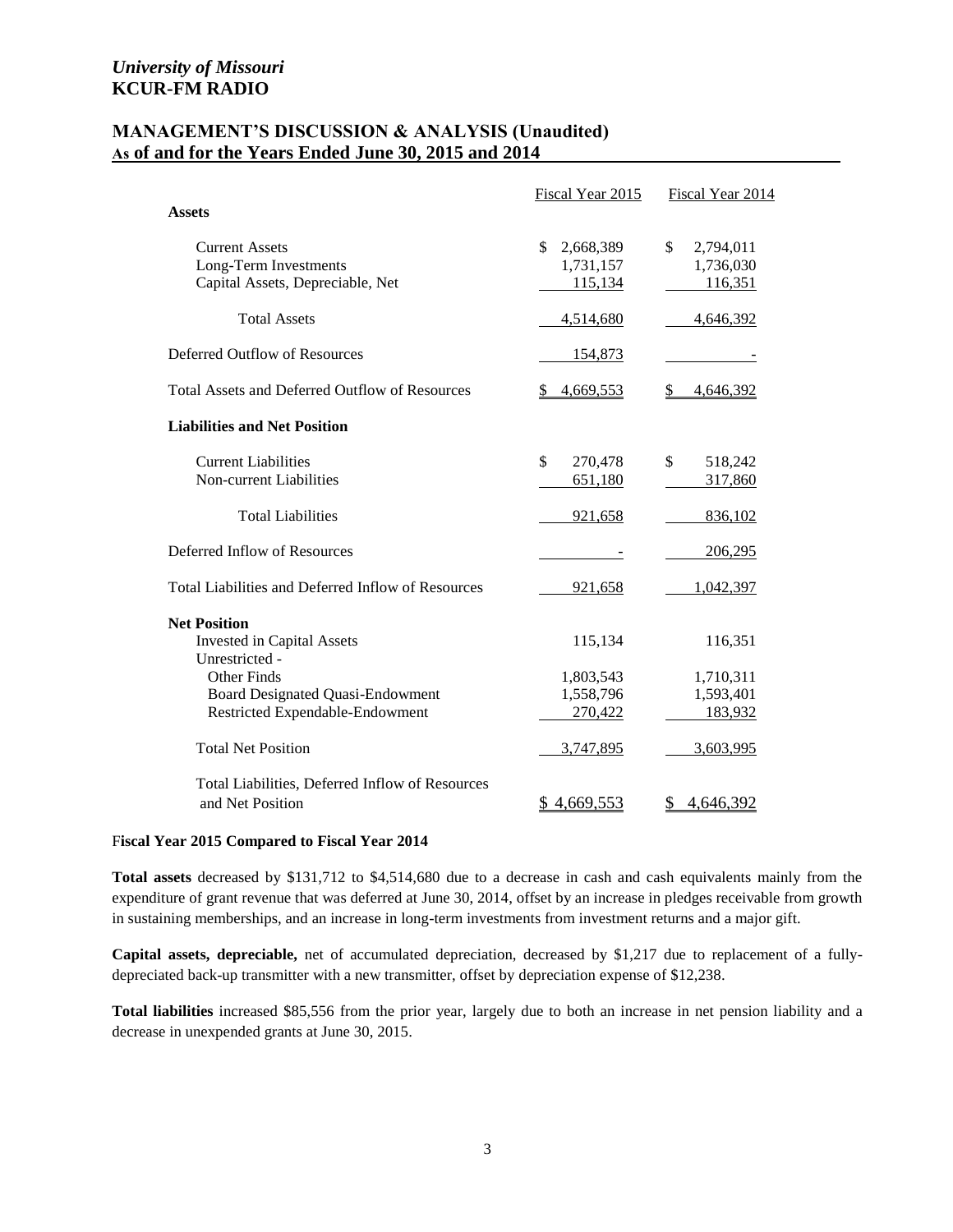#### **MANAGEMENT'S DISCUSSION & ANALYSIS (Unaudited) As of and for the Years Ended June 30, 2015 and 2014**

|                                                                                    | Fiscal Year 2015                    | Fiscal Year 2014                        |
|------------------------------------------------------------------------------------|-------------------------------------|-----------------------------------------|
| <b>Assets</b>                                                                      |                                     |                                         |
| <b>Current Assets</b><br>Long-Term Investments<br>Capital Assets, Depreciable, Net | \$2,668,389<br>1,731,157<br>115,134 | \$<br>2,794,011<br>1,736,030<br>116,351 |
| <b>Total Assets</b>                                                                | 4,514,680                           | 4,646,392                               |
| Deferred Outflow of Resources                                                      | 154,873                             |                                         |
| <b>Total Assets and Deferred Outflow of Resources</b>                              | \$4,669,553                         | 4,646,392                               |
| <b>Liabilities and Net Position</b>                                                |                                     |                                         |
| <b>Current Liabilities</b><br>Non-current Liabilities                              | \$<br>270,478<br>651,180            | \$<br>518,242<br>317,860                |
| <b>Total Liabilities</b>                                                           | 921,658                             | 836,102                                 |
| Deferred Inflow of Resources                                                       |                                     | 206,295                                 |
| Total Liabilities and Deferred Inflow of Resources                                 | 921,658                             | 1,042,397                               |
| <b>Net Position</b>                                                                |                                     |                                         |
| <b>Invested in Capital Assets</b><br>Unrestricted -                                | 115,134                             | 116,351                                 |
| Other Finds                                                                        | 1,803,543                           | 1,710,311                               |
| <b>Board Designated Quasi-Endowment</b>                                            | 1,558,796                           | 1,593,401                               |
| Restricted Expendable-Endowment                                                    | 270,422                             | 183,932                                 |
| <b>Total Net Position</b>                                                          | 3,747,895                           | 3,603,995                               |
| Total Liabilities, Deferred Inflow of Resources                                    |                                     |                                         |
| and Net Position                                                                   | \$4,669,553                         | 4,646,392                               |

#### F**iscal Year 2015 Compared to Fiscal Year 2014**

**Total assets** decreased by \$131,712 to \$4,514,680 due to a decrease in cash and cash equivalents mainly from the expenditure of grant revenue that was deferred at June 30, 2014, offset by an increase in pledges receivable from growth in sustaining memberships, and an increase in long-term investments from investment returns and a major gift.

**Capital assets, depreciable,** net of accumulated depreciation, decreased by \$1,217 due to replacement of a fullydepreciated back-up transmitter with a new transmitter, offset by depreciation expense of \$12,238.

**Total liabilities** increased \$85,556 from the prior year, largely due to both an increase in net pension liability and a decrease in unexpended grants at June 30, 2015.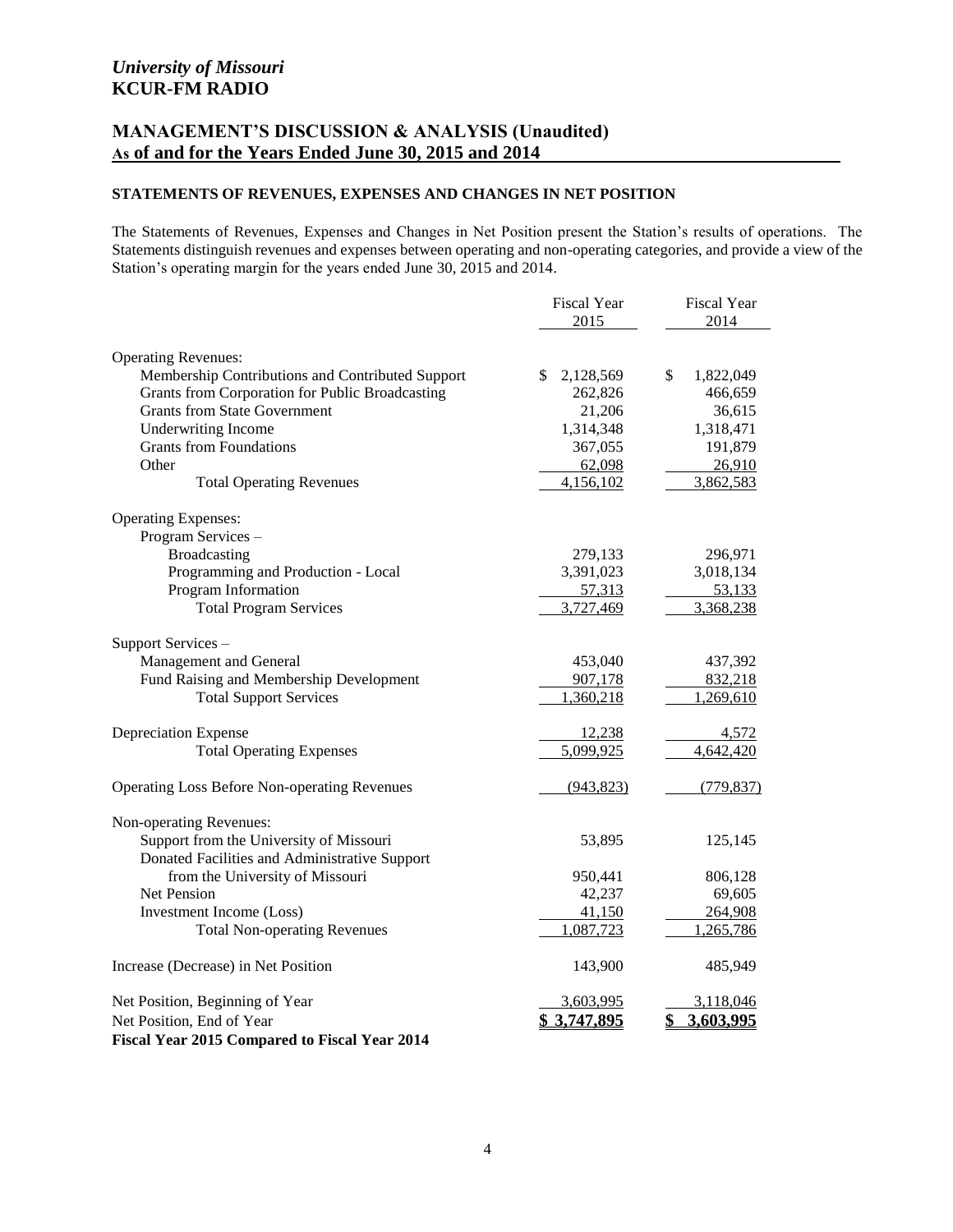# **MANAGEMENT'S DISCUSSION & ANALYSIS (Unaudited) As of and for the Years Ended June 30, 2015 and 2014**

#### **STATEMENTS OF REVENUES, EXPENSES AND CHANGES IN NET POSITION**

The Statements of Revenues, Expenses and Changes in Net Position present the Station's results of operations. The Statements distinguish revenues and expenses between operating and non-operating categories, and provide a view of the Station's operating margin for the years ended June 30, 2015 and 2014.

|                                                                                          | <b>Fiscal Year</b> | <b>Fiscal Year</b> |
|------------------------------------------------------------------------------------------|--------------------|--------------------|
|                                                                                          | 2015               | 2014               |
|                                                                                          |                    |                    |
| <b>Operating Revenues:</b>                                                               |                    |                    |
| Membership Contributions and Contributed Support                                         | \$<br>2,128,569    | \$<br>1,822,049    |
| Grants from Corporation for Public Broadcasting                                          | 262,826            | 466,659            |
| <b>Grants from State Government</b>                                                      | 21,206             | 36,615             |
| <b>Underwriting Income</b>                                                               | 1,314,348          | 1,318,471          |
| <b>Grants from Foundations</b>                                                           | 367,055            | 191,879            |
| Other                                                                                    | 62,098             | 26,910             |
| <b>Total Operating Revenues</b>                                                          | 4,156,102          | 3,862,583          |
| <b>Operating Expenses:</b>                                                               |                    |                    |
| Program Services-                                                                        |                    |                    |
| <b>Broadcasting</b>                                                                      | 279,133            | 296,971            |
| Programming and Production - Local                                                       | 3,391,023          | 3,018,134          |
| Program Information                                                                      | 57,313             | 53,133             |
| <b>Total Program Services</b>                                                            | 3,727,469          | 3,368,238          |
| Support Services -                                                                       |                    |                    |
| Management and General                                                                   | 453,040            | 437,392            |
| Fund Raising and Membership Development                                                  | 907,178            | 832,218            |
| <b>Total Support Services</b>                                                            | 1,360,218          | 1,269,610          |
| <b>Depreciation Expense</b>                                                              | 12,238             | 4,572              |
| <b>Total Operating Expenses</b>                                                          | 5,099,925          | 4,642,420          |
| <b>Operating Loss Before Non-operating Revenues</b>                                      | (943, 823)         | (779, 837)         |
| Non-operating Revenues:                                                                  |                    |                    |
| Support from the University of Missouri<br>Donated Facilities and Administrative Support | 53,895             | 125,145            |
| from the University of Missouri                                                          | 950,441            | 806,128            |
| <b>Net Pension</b>                                                                       | 42,237             | 69,605             |
| Investment Income (Loss)                                                                 | 41,150             | 264,908            |
| <b>Total Non-operating Revenues</b>                                                      | 1,087,723          | 1,265,786          |
| Increase (Decrease) in Net Position                                                      | 143,900            | 485,949            |
| Net Position, Beginning of Year                                                          | 3,603,995          | 3,118,046          |
| Net Position, End of Year                                                                | \$3,747,895        | 3,603,995          |
| Fiscal Year 2015 Compared to Fiscal Year 2014                                            |                    |                    |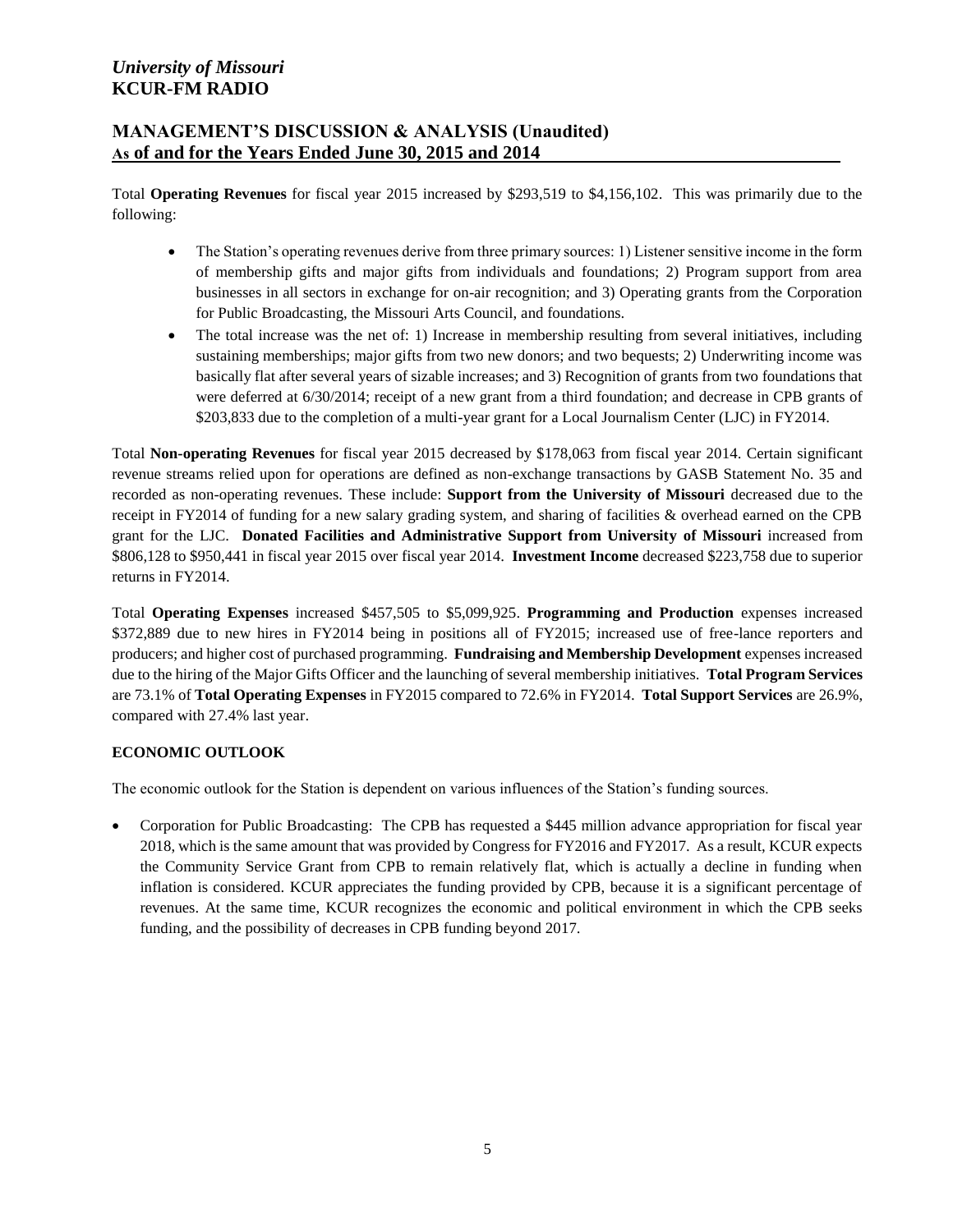### **MANAGEMENT'S DISCUSSION & ANALYSIS (Unaudited) As of and for the Years Ended June 30, 2015 and 2014**

Total **Operating Revenues** for fiscal year 2015 increased by \$293,519 to \$4,156,102. This was primarily due to the following:

- The Station's operating revenues derive from three primary sources: 1) Listener sensitive income in the form of membership gifts and major gifts from individuals and foundations; 2) Program support from area businesses in all sectors in exchange for on-air recognition; and 3) Operating grants from the Corporation for Public Broadcasting, the Missouri Arts Council, and foundations.
- The total increase was the net of: 1) Increase in membership resulting from several initiatives, including sustaining memberships; major gifts from two new donors; and two bequests; 2) Underwriting income was basically flat after several years of sizable increases; and 3) Recognition of grants from two foundations that were deferred at 6/30/2014; receipt of a new grant from a third foundation; and decrease in CPB grants of \$203,833 due to the completion of a multi-year grant for a Local Journalism Center (LJC) in FY2014.

Total **Non-operating Revenues** for fiscal year 2015 decreased by \$178,063 from fiscal year 2014. Certain significant revenue streams relied upon for operations are defined as non-exchange transactions by GASB Statement No. 35 and recorded as non-operating revenues. These include: **Support from the University of Missouri** decreased due to the receipt in FY2014 of funding for a new salary grading system, and sharing of facilities & overhead earned on the CPB grant for the LJC. **Donated Facilities and Administrative Support from University of Missouri** increased from \$806,128 to \$950,441 in fiscal year 2015 over fiscal year 2014. **Investment Income** decreased \$223,758 due to superior returns in FY2014.

Total **Operating Expenses** increased \$457,505 to \$5,099,925. **Programming and Production** expenses increased \$372,889 due to new hires in FY2014 being in positions all of FY2015; increased use of free-lance reporters and producers; and higher cost of purchased programming. **Fundraising and Membership Development** expenses increased due to the hiring of the Major Gifts Officer and the launching of several membership initiatives. **Total Program Services** are 73.1% of **Total Operating Expenses** in FY2015 compared to 72.6% in FY2014. **Total Support Services** are 26.9%, compared with 27.4% last year.

#### **ECONOMIC OUTLOOK**

The economic outlook for the Station is dependent on various influences of the Station's funding sources.

 Corporation for Public Broadcasting: The CPB has requested a \$445 million advance appropriation for fiscal year 2018, which is the same amount that was provided by Congress for FY2016 and FY2017. As a result, KCUR expects the Community Service Grant from CPB to remain relatively flat, which is actually a decline in funding when inflation is considered. KCUR appreciates the funding provided by CPB, because it is a significant percentage of revenues. At the same time, KCUR recognizes the economic and political environment in which the CPB seeks funding, and the possibility of decreases in CPB funding beyond 2017.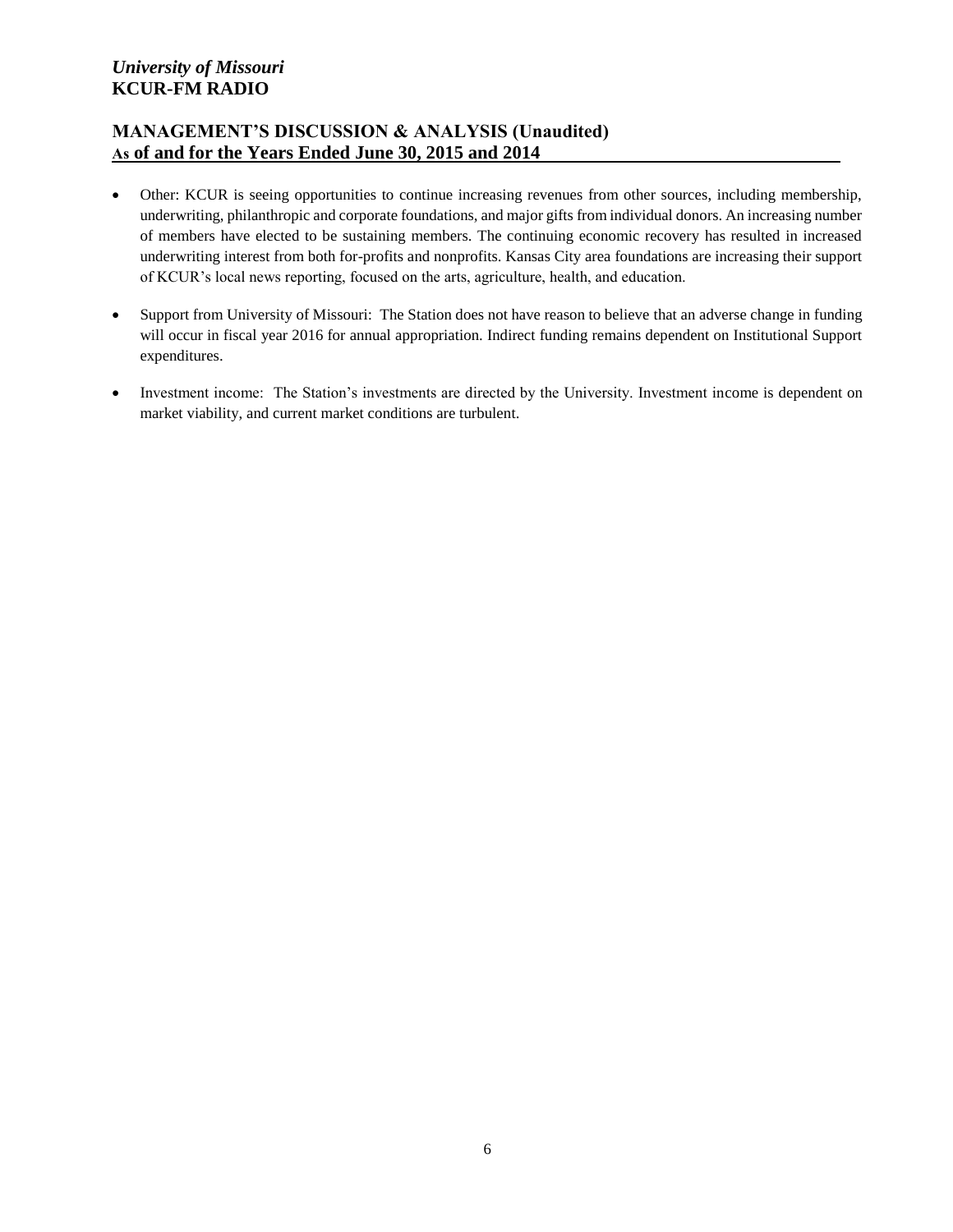### **MANAGEMENT'S DISCUSSION & ANALYSIS (Unaudited) As of and for the Years Ended June 30, 2015 and 2014**

- Other: KCUR is seeing opportunities to continue increasing revenues from other sources, including membership, underwriting, philanthropic and corporate foundations, and major gifts from individual donors. An increasing number of members have elected to be sustaining members. The continuing economic recovery has resulted in increased underwriting interest from both for-profits and nonprofits. Kansas City area foundations are increasing their support of KCUR's local news reporting, focused on the arts, agriculture, health, and education.
- Support from University of Missouri: The Station does not have reason to believe that an adverse change in funding will occur in fiscal year 2016 for annual appropriation. Indirect funding remains dependent on Institutional Support expenditures.
- Investment income: The Station's investments are directed by the University. Investment income is dependent on market viability, and current market conditions are turbulent.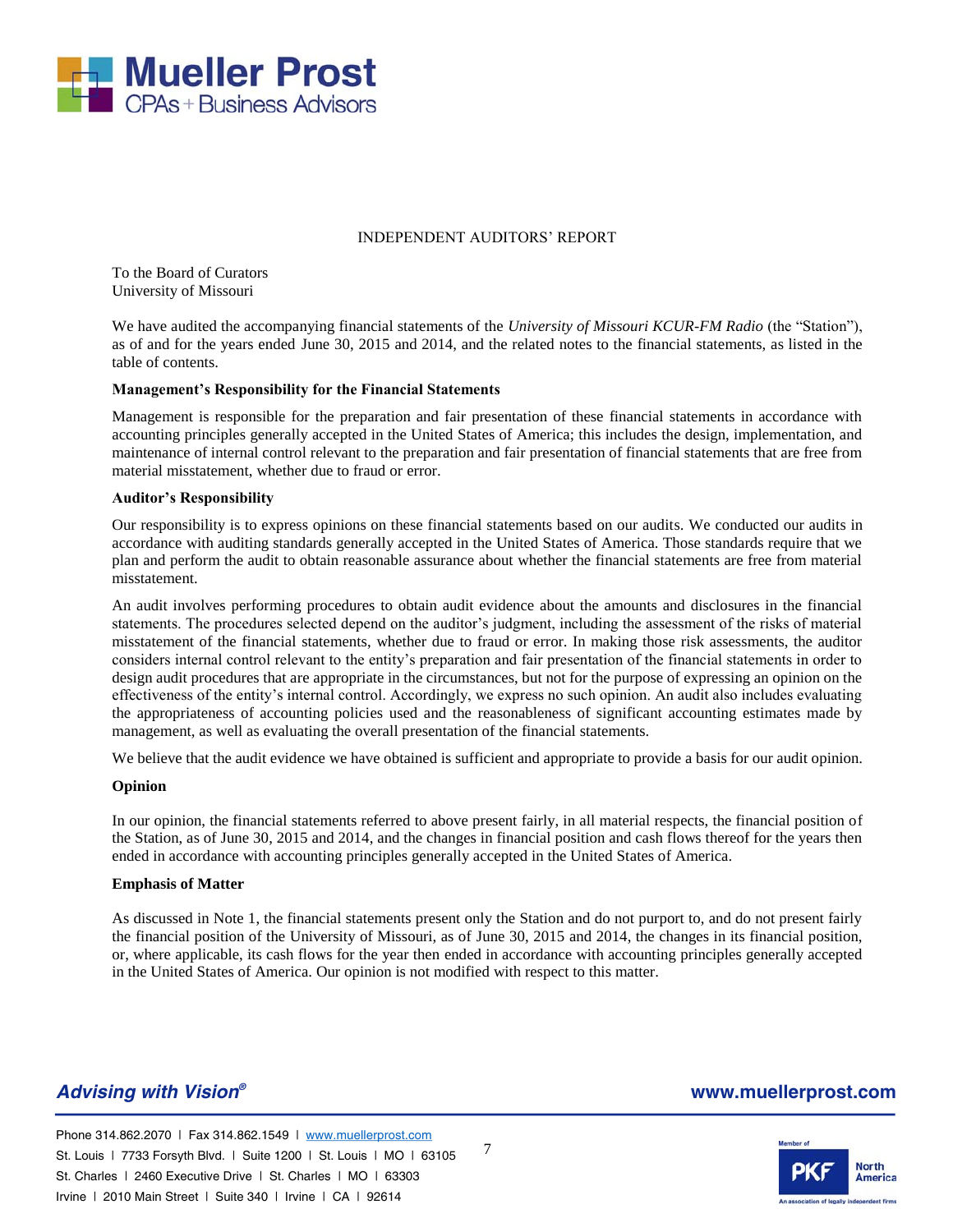

#### INDEPENDENT AUDITORS' REPORT

To the Board of Curators University of Missouri

We have audited the accompanying financial statements of the *University of Missouri KCUR-FM Radio* (the "Station"), as of and for the years ended June 30, 2015 and 2014, and the related notes to the financial statements, as listed in the table of contents.

#### **Management's Responsibility for the Financial Statements**

Management is responsible for the preparation and fair presentation of these financial statements in accordance with accounting principles generally accepted in the United States of America; this includes the design, implementation, and maintenance of internal control relevant to the preparation and fair presentation of financial statements that are free from material misstatement, whether due to fraud or error.

#### **Auditor's Responsibility**

Our responsibility is to express opinions on these financial statements based on our audits. We conducted our audits in accordance with auditing standards generally accepted in the United States of America. Those standards require that we plan and perform the audit to obtain reasonable assurance about whether the financial statements are free from material misstatement.

An audit involves performing procedures to obtain audit evidence about the amounts and disclosures in the financial statements. The procedures selected depend on the auditor's judgment, including the assessment of the risks of material misstatement of the financial statements, whether due to fraud or error. In making those risk assessments, the auditor considers internal control relevant to the entity's preparation and fair presentation of the financial statements in order to design audit procedures that are appropriate in the circumstances, but not for the purpose of expressing an opinion on the effectiveness of the entity's internal control. Accordingly, we express no such opinion. An audit also includes evaluating the appropriateness of accounting policies used and the reasonableness of significant accounting estimates made by management, as well as evaluating the overall presentation of the financial statements.

We believe that the audit evidence we have obtained is sufficient and appropriate to provide a basis for our audit opinion.

#### **Opinion**

In our opinion, the financial statements referred to above present fairly, in all material respects, the financial position of the Station, as of June 30, 2015 and 2014, and the changes in financial position and cash flows thereof for the years then ended in accordance with accounting principles generally accepted in the United States of America.

#### **Emphasis of Matter**

As discussed in Note 1, the financial statements present only the Station and do not purport to, and do not present fairly the financial position of the University of Missouri, as of June 30, 2015 and 2014, the changes in its financial position, or, where applicable, its cash flows for the year then ended in accordance with accounting principles generally accepted in the United States of America. Our opinion is not modified with respect to this matter.

7

### *Advising with Vision®* **www.muellerprost.com**

Phone 314.862.2070 | Fax 314.862.1549 | www.muellerprost.com St. Louis | 7733 Forsyth Blvd. | Suite 1200 | St. Louis | MO | 63105 St. Charles | 2460 Executive Drive | St. Charles | MO | 63303 Irvine | 2010 Main Street | Suite 340 | Irvine | CA | 92614

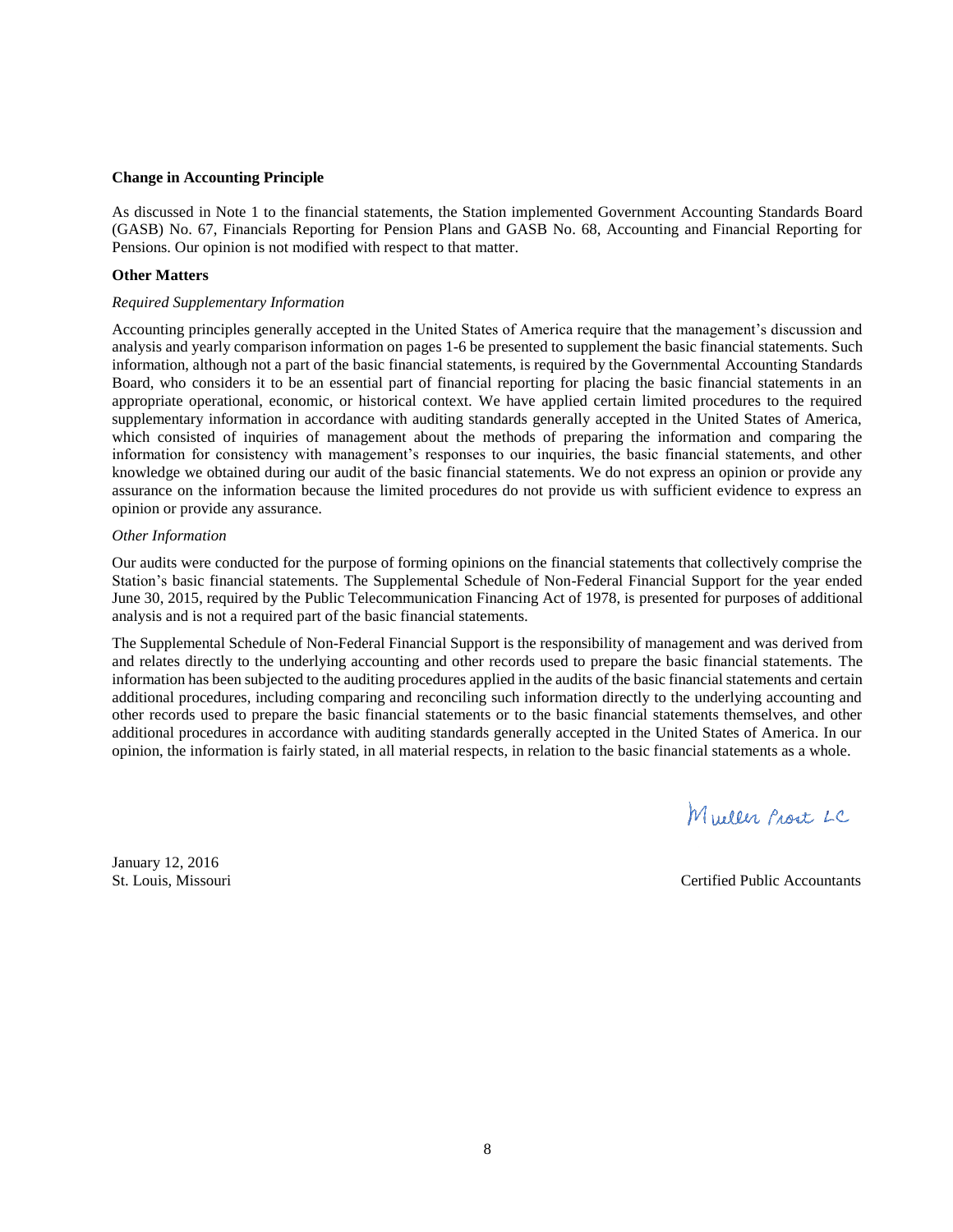#### **Change in Accounting Principle**

As discussed in Note 1 to the financial statements, the Station implemented Government Accounting Standards Board (GASB) No. 67, Financials Reporting for Pension Plans and GASB No. 68, Accounting and Financial Reporting for Pensions. Our opinion is not modified with respect to that matter.

#### **Other Matters**

#### *Required Supplementary Information*

Accounting principles generally accepted in the United States of America require that the management's discussion and analysis and yearly comparison information on pages 1-6 be presented to supplement the basic financial statements. Such information, although not a part of the basic financial statements, is required by the Governmental Accounting Standards Board, who considers it to be an essential part of financial reporting for placing the basic financial statements in an appropriate operational, economic, or historical context. We have applied certain limited procedures to the required supplementary information in accordance with auditing standards generally accepted in the United States of America, which consisted of inquiries of management about the methods of preparing the information and comparing the information for consistency with management's responses to our inquiries, the basic financial statements, and other knowledge we obtained during our audit of the basic financial statements. We do not express an opinion or provide any assurance on the information because the limited procedures do not provide us with sufficient evidence to express an opinion or provide any assurance.

#### *Other Information*

Our audits were conducted for the purpose of forming opinions on the financial statements that collectively comprise the Station's basic financial statements. The Supplemental Schedule of Non-Federal Financial Support for the year ended June 30, 2015, required by the Public Telecommunication Financing Act of 1978, is presented for purposes of additional analysis and is not a required part of the basic financial statements.

The Supplemental Schedule of Non-Federal Financial Support is the responsibility of management and was derived from and relates directly to the underlying accounting and other records used to prepare the basic financial statements. The information has been subjected to the auditing procedures applied in the audits of the basic financial statements and certain additional procedures, including comparing and reconciling such information directly to the underlying accounting and other records used to prepare the basic financial statements or to the basic financial statements themselves, and other additional procedures in accordance with auditing standards generally accepted in the United States of America. In our opinion, the information is fairly stated, in all material respects, in relation to the basic financial statements as a whole.

Muller Crost LC

January 12, 2016

St. Louis, Missouri Certified Public Accountants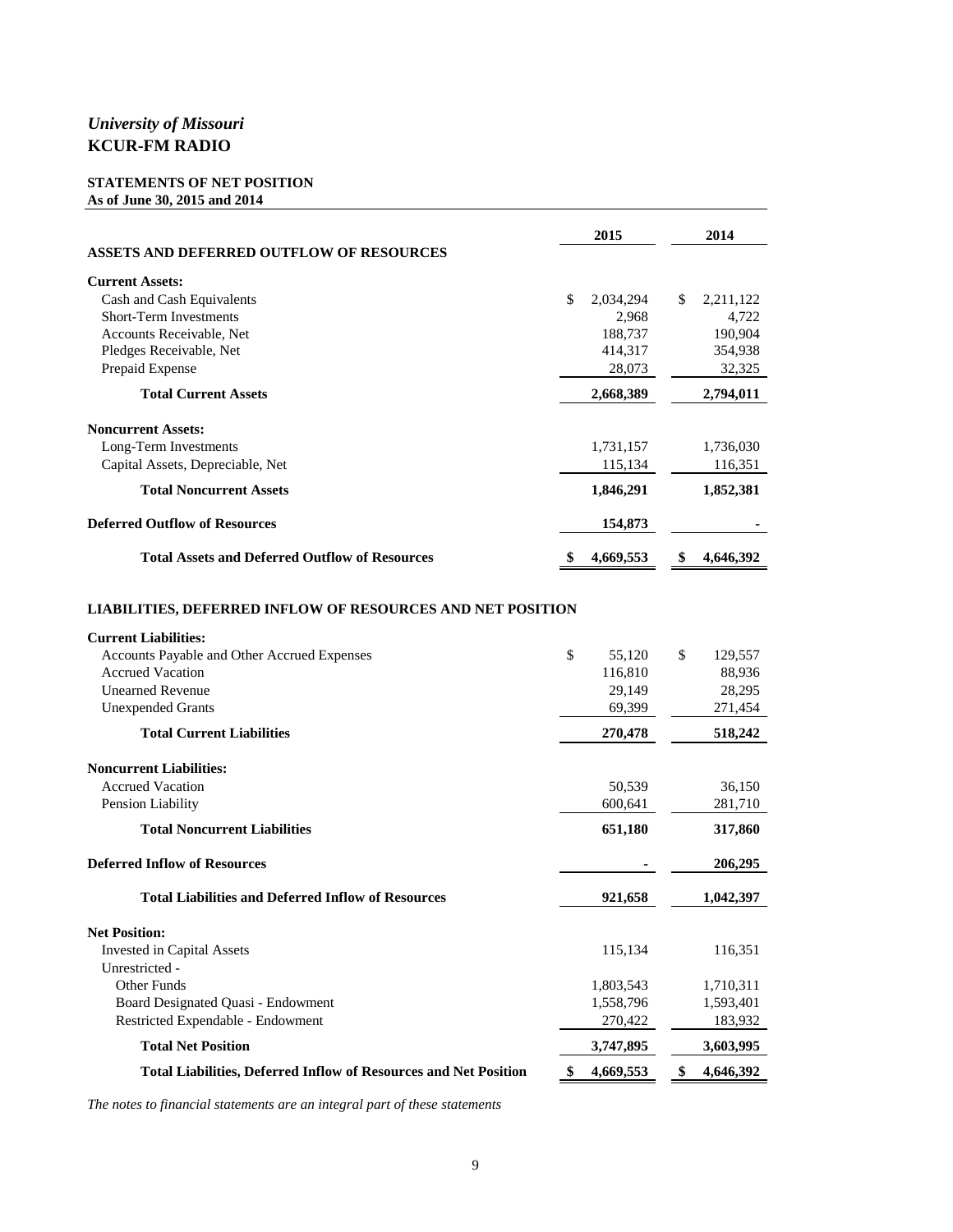#### **STATEMENTS OF NET POSITION As of June 30, 2015 and 2014**

|                                                       | 2015 |           |    | 2014      |
|-------------------------------------------------------|------|-----------|----|-----------|
| <b>ASSETS AND DEFERRED OUTFLOW OF RESOURCES</b>       |      |           |    |           |
| <b>Current Assets:</b>                                |      |           |    |           |
| Cash and Cash Equivalents                             | \$   | 2,034,294 | \$ | 2,211,122 |
| <b>Short-Term Investments</b>                         |      | 2,968     |    | 4,722     |
| Accounts Receivable, Net                              |      | 188,737   |    | 190,904   |
| Pledges Receivable, Net                               |      | 414,317   |    | 354,938   |
| Prepaid Expense                                       |      | 28,073    |    | 32,325    |
| <b>Total Current Assets</b>                           |      | 2,668,389 |    | 2,794,011 |
| <b>Noncurrent Assets:</b>                             |      |           |    |           |
| Long-Term Investments                                 |      | 1,731,157 |    | 1,736,030 |
| Capital Assets, Depreciable, Net                      |      | 115,134   |    | 116,351   |
| <b>Total Noncurrent Assets</b>                        |      | 1,846,291 |    | 1,852,381 |
| <b>Deferred Outflow of Resources</b>                  |      | 154,873   |    |           |
| <b>Total Assets and Deferred Outflow of Resources</b> |      | 4,669,553 |    | 4,646,392 |

#### **LIABILITIES, DEFERRED INFLOW OF RESOURCES AND NET POSITION**

| <b>Current Liabilities:</b>                                             |                 |                 |
|-------------------------------------------------------------------------|-----------------|-----------------|
| Accounts Payable and Other Accrued Expenses                             | \$<br>55,120    | \$<br>129,557   |
| <b>Accrued Vacation</b>                                                 | 116,810         | 88,936          |
| <b>Unearned Revenue</b>                                                 | 29,149          | 28,295          |
| <b>Unexpended Grants</b>                                                | 69.399          | 271,454         |
| <b>Total Current Liabilities</b>                                        | 270,478         | 518,242         |
| <b>Noncurrent Liabilities:</b>                                          |                 |                 |
| <b>Accrued Vacation</b>                                                 | 50.539          | 36,150          |
| Pension Liability                                                       | 600,641         | 281,710         |
| <b>Total Noncurrent Liabilities</b>                                     | 651,180         | 317,860         |
| <b>Deferred Inflow of Resources</b>                                     |                 | 206,295         |
| <b>Total Liabilities and Deferred Inflow of Resources</b>               | 921,658         | 1,042,397       |
| <b>Net Position:</b>                                                    |                 |                 |
| <b>Invested in Capital Assets</b>                                       | 115,134         | 116,351         |
| Unrestricted -                                                          |                 |                 |
| Other Funds                                                             | 1,803,543       | 1,710,311       |
| Board Designated Quasi - Endowment                                      | 1,558,796       | 1,593,401       |
| Restricted Expendable - Endowment                                       | 270,422         | 183,932         |
| <b>Total Net Position</b>                                               | 3,747,895       | 3,603,995       |
| <b>Total Liabilities, Deferred Inflow of Resources and Net Position</b> | \$<br>4,669,553 | \$<br>4,646,392 |

*The notes to financial statements are an integral part of these statements*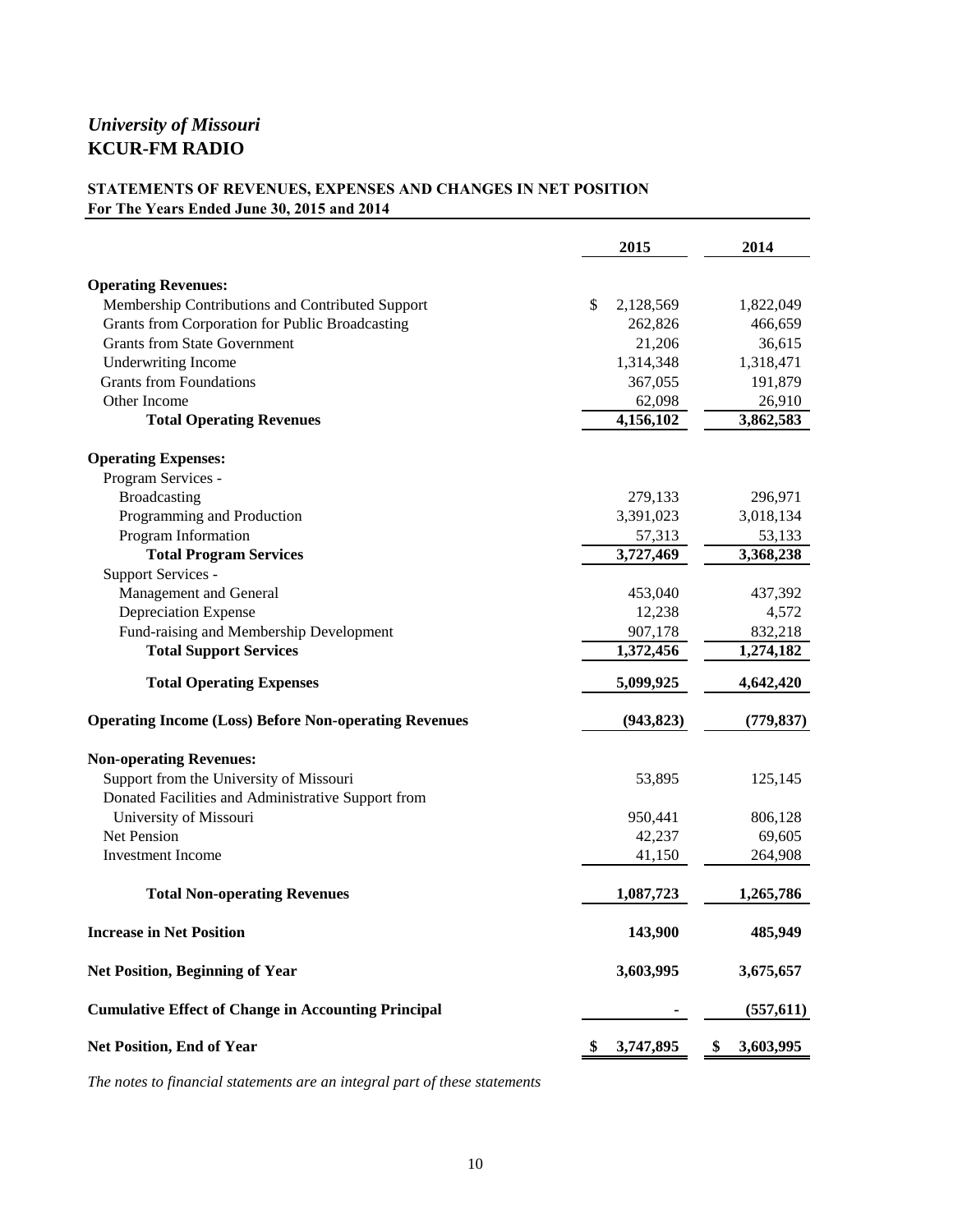#### **STATEMENTS OF REVENUES, EXPENSES AND CHANGES IN NET POSITION For The Years Ended June 30, 2015 and 2014**

|                                                              | 2015            | 2014            |
|--------------------------------------------------------------|-----------------|-----------------|
| <b>Operating Revenues:</b>                                   |                 |                 |
| Membership Contributions and Contributed Support             | \$<br>2,128,569 | 1,822,049       |
| Grants from Corporation for Public Broadcasting              | 262,826         | 466,659         |
| <b>Grants from State Government</b>                          | 21,206          | 36,615          |
| <b>Underwriting Income</b>                                   | 1,314,348       | 1,318,471       |
| <b>Grants from Foundations</b>                               | 367,055         | 191,879         |
| Other Income                                                 | 62,098          | 26,910          |
| <b>Total Operating Revenues</b>                              | 4,156,102       | 3,862,583       |
| <b>Operating Expenses:</b>                                   |                 |                 |
| Program Services -                                           |                 |                 |
| Broadcasting                                                 | 279,133         | 296,971         |
| Programming and Production                                   | 3,391,023       | 3,018,134       |
| Program Information                                          | 57,313          | 53,133          |
| <b>Total Program Services</b>                                | 3,727,469       | 3,368,238       |
| Support Services -                                           |                 |                 |
| Management and General                                       | 453,040         | 437,392         |
| <b>Depreciation Expense</b>                                  | 12,238          | 4,572           |
| Fund-raising and Membership Development                      | 907,178         | 832,218         |
| <b>Total Support Services</b>                                | 1,372,456       | 1,274,182       |
| <b>Total Operating Expenses</b>                              | 5,099,925       | 4,642,420       |
| <b>Operating Income (Loss) Before Non-operating Revenues</b> | (943, 823)      | (779, 837)      |
| <b>Non-operating Revenues:</b>                               |                 |                 |
| Support from the University of Missouri                      | 53,895          | 125,145         |
| Donated Facilities and Administrative Support from           |                 |                 |
| University of Missouri                                       | 950,441         | 806,128         |
| Net Pension                                                  | 42,237          | 69,605          |
| <b>Investment Income</b>                                     | 41,150          | 264,908         |
| <b>Total Non-operating Revenues</b>                          | 1,087,723       | 1,265,786       |
| <b>Increase in Net Position</b>                              | 143,900         | 485,949         |
| <b>Net Position, Beginning of Year</b>                       | 3,603,995       | 3,675,657       |
| <b>Cumulative Effect of Change in Accounting Principal</b>   |                 | (557, 611)      |
| <b>Net Position, End of Year</b>                             | \$<br>3,747,895 | 3,603,995<br>\$ |

*The notes to financial statements are an integral part of these statements*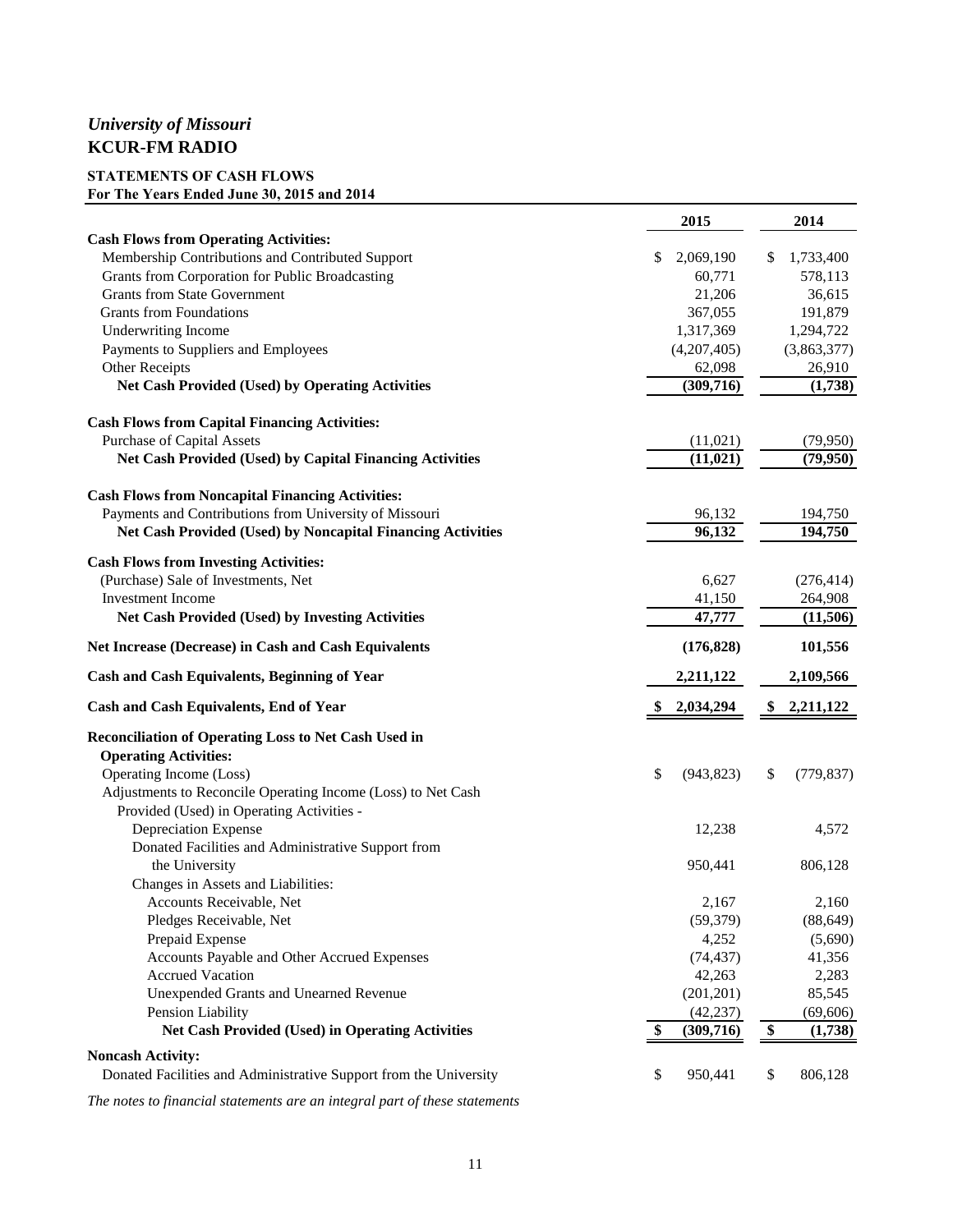#### **STATEMENTS OF CASH FLOWS For The Years Ended June 30, 2015 and 2014**

|                                                                   | 2015             | 2014             |
|-------------------------------------------------------------------|------------------|------------------|
| <b>Cash Flows from Operating Activities:</b>                      |                  |                  |
| Membership Contributions and Contributed Support                  | 2,069,190<br>\$  | 1,733,400<br>S   |
| Grants from Corporation for Public Broadcasting                   | 60,771           | 578,113          |
| <b>Grants from State Government</b>                               | 21,206           | 36,615           |
| <b>Grants from Foundations</b>                                    | 367,055          | 191,879          |
| <b>Underwriting Income</b>                                        | 1,317,369        | 1,294,722        |
| Payments to Suppliers and Employees                               | (4,207,405)      | (3,863,377)      |
| Other Receipts                                                    | 62,098           | 26,910           |
| Net Cash Provided (Used) by Operating Activities                  | (309, 716)       | (1,738)          |
| <b>Cash Flows from Capital Financing Activities:</b>              |                  |                  |
| Purchase of Capital Assets                                        | (11,021)         | (79,950)         |
| Net Cash Provided (Used) by Capital Financing Activities          | (11, 021)        | (79, 950)        |
| <b>Cash Flows from Noncapital Financing Activities:</b>           |                  |                  |
| Payments and Contributions from University of Missouri            | 96,132           | 194,750          |
| Net Cash Provided (Used) by Noncapital Financing Activities       | 96,132           | 194,750          |
| <b>Cash Flows from Investing Activities:</b>                      |                  |                  |
| (Purchase) Sale of Investments, Net                               | 6,627            | (276, 414)       |
| <b>Investment</b> Income                                          | 41,150           | 264,908          |
| <b>Net Cash Provided (Used) by Investing Activities</b>           | 47,777           | (11,506)         |
| Net Increase (Decrease) in Cash and Cash Equivalents              | (176, 828)       | 101,556          |
| Cash and Cash Equivalents, Beginning of Year                      | 2,211,122        | 2,109,566        |
| <b>Cash and Cash Equivalents, End of Year</b>                     | 2,034,294<br>\$  | \$<br>2,211,122  |
| <b>Reconciliation of Operating Loss to Net Cash Used in</b>       |                  |                  |
| <b>Operating Activities:</b>                                      |                  |                  |
| Operating Income (Loss)                                           | \$<br>(943, 823) | \$<br>(779, 837) |
| Adjustments to Reconcile Operating Income (Loss) to Net Cash      |                  |                  |
| Provided (Used) in Operating Activities -                         |                  |                  |
| <b>Depreciation Expense</b>                                       | 12,238           | 4,572            |
| Donated Facilities and Administrative Support from                |                  |                  |
| the University                                                    | 950,441          | 806,128          |
| Changes in Assets and Liabilities:                                |                  |                  |
| Accounts Receivable, Net                                          | 2,167            | 2,160            |
| Pledges Receivable, Net                                           | (59, 379)        | (88, 649)        |
| Prepaid Expense                                                   | 4,252            | (5,690)          |
| Accounts Payable and Other Accrued Expenses                       | (74, 437)        | 41,356           |
| <b>Accrued Vacation</b>                                           | 42,263           | 2,283            |
| <b>Unexpended Grants and Unearned Revenue</b>                     | (201, 201)       | 85,545           |
| Pension Liability                                                 | (42, 237)        | (69, 606)        |
| <b>Net Cash Provided (Used) in Operating Activities</b>           | (309, 716)       | \$<br>(1,738)    |
| <b>Noncash Activity:</b>                                          |                  |                  |
| Donated Facilities and Administrative Support from the University | \$<br>950,441    | \$<br>806,128    |

*The notes to financial statements are an integral part of these statements*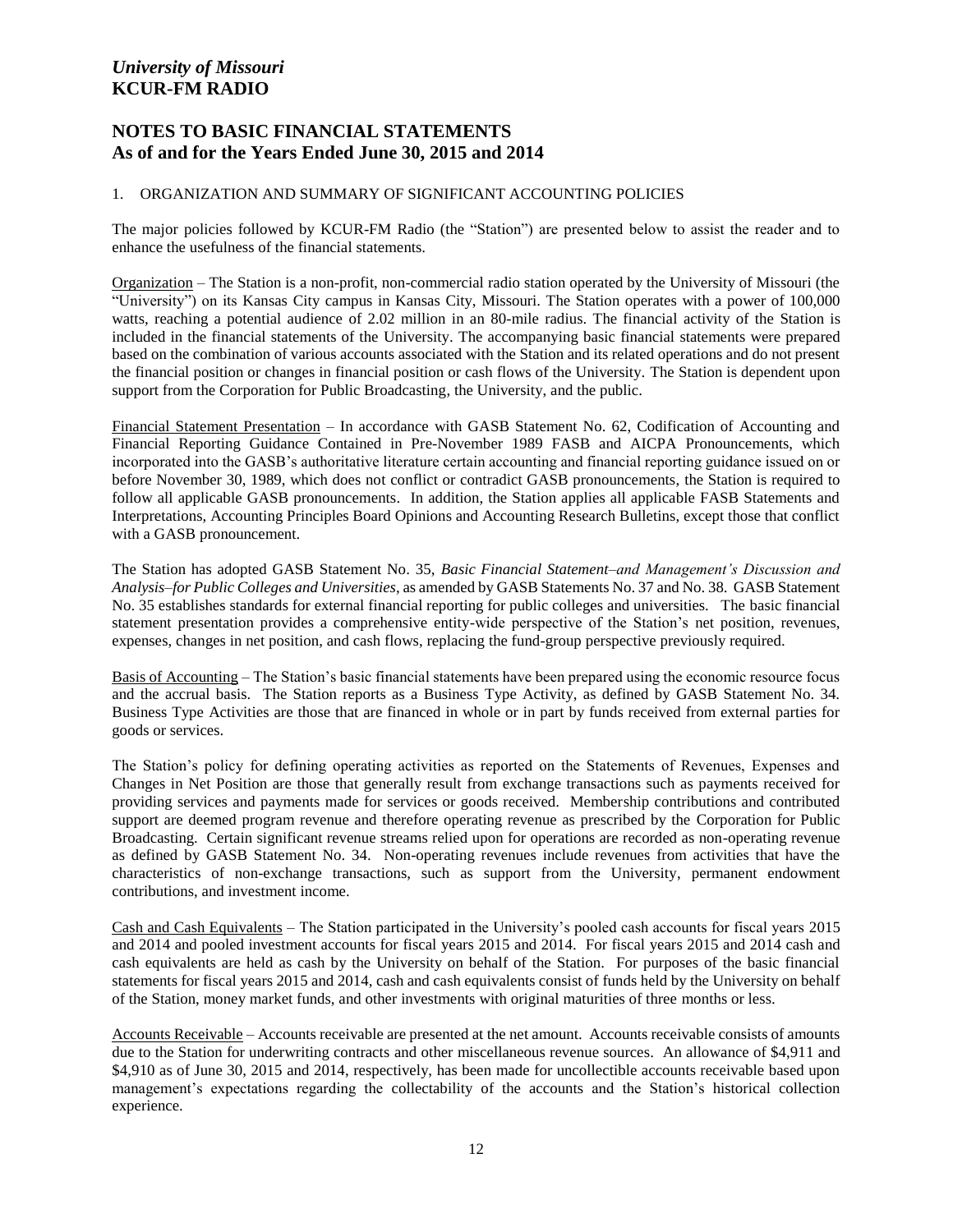### **NOTES TO BASIC FINANCIAL STATEMENTS As of and for the Years Ended June 30, 2015 and 2014**

#### 1. ORGANIZATION AND SUMMARY OF SIGNIFICANT ACCOUNTING POLICIES

The major policies followed by KCUR-FM Radio (the "Station") are presented below to assist the reader and to enhance the usefulness of the financial statements.

Organization – The Station is a non-profit, non-commercial radio station operated by the University of Missouri (the "University") on its Kansas City campus in Kansas City, Missouri. The Station operates with a power of 100,000 watts, reaching a potential audience of 2.02 million in an 80-mile radius. The financial activity of the Station is included in the financial statements of the University. The accompanying basic financial statements were prepared based on the combination of various accounts associated with the Station and its related operations and do not present the financial position or changes in financial position or cash flows of the University. The Station is dependent upon support from the Corporation for Public Broadcasting, the University, and the public.

Financial Statement Presentation – In accordance with GASB Statement No. 62, Codification of Accounting and Financial Reporting Guidance Contained in Pre-November 1989 FASB and AICPA Pronouncements, which incorporated into the GASB's authoritative literature certain accounting and financial reporting guidance issued on or before November 30, 1989, which does not conflict or contradict GASB pronouncements, the Station is required to follow all applicable GASB pronouncements. In addition, the Station applies all applicable FASB Statements and Interpretations, Accounting Principles Board Opinions and Accounting Research Bulletins, except those that conflict with a GASB pronouncement.

The Station has adopted GASB Statement No. 35, *Basic Financial Statement–and Management's Discussion and Analysis–for Public Colleges and Universities*, as amended by GASB Statements No. 37 and No. 38. GASB Statement No. 35 establishes standards for external financial reporting for public colleges and universities. The basic financial statement presentation provides a comprehensive entity-wide perspective of the Station's net position, revenues, expenses, changes in net position, and cash flows, replacing the fund-group perspective previously required.

Basis of Accounting – The Station's basic financial statements have been prepared using the economic resource focus and the accrual basis. The Station reports as a Business Type Activity, as defined by GASB Statement No. 34. Business Type Activities are those that are financed in whole or in part by funds received from external parties for goods or services.

The Station's policy for defining operating activities as reported on the Statements of Revenues, Expenses and Changes in Net Position are those that generally result from exchange transactions such as payments received for providing services and payments made for services or goods received. Membership contributions and contributed support are deemed program revenue and therefore operating revenue as prescribed by the Corporation for Public Broadcasting. Certain significant revenue streams relied upon for operations are recorded as non-operating revenue as defined by GASB Statement No. 34. Non-operating revenues include revenues from activities that have the characteristics of non-exchange transactions, such as support from the University, permanent endowment contributions, and investment income.

Cash and Cash Equivalents – The Station participated in the University's pooled cash accounts for fiscal years 2015 and 2014 and pooled investment accounts for fiscal years 2015 and 2014. For fiscal years 2015 and 2014 cash and cash equivalents are held as cash by the University on behalf of the Station. For purposes of the basic financial statements for fiscal years 2015 and 2014, cash and cash equivalents consist of funds held by the University on behalf of the Station, money market funds, and other investments with original maturities of three months or less.

Accounts Receivable – Accounts receivable are presented at the net amount. Accounts receivable consists of amounts due to the Station for underwriting contracts and other miscellaneous revenue sources. An allowance of \$4,911 and \$4,910 as of June 30, 2015 and 2014, respectively, has been made for uncollectible accounts receivable based upon management's expectations regarding the collectability of the accounts and the Station's historical collection experience.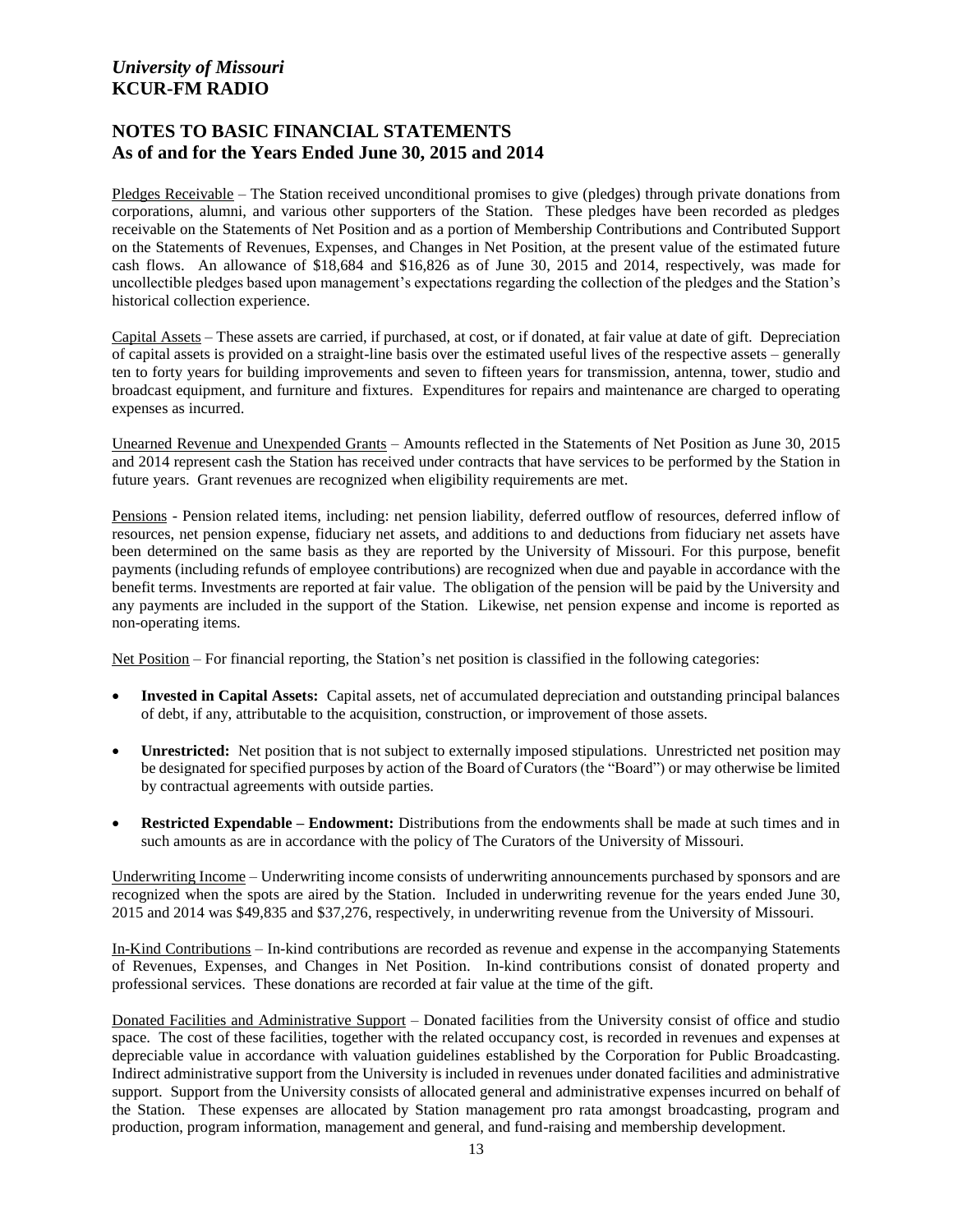### **NOTES TO BASIC FINANCIAL STATEMENTS As of and for the Years Ended June 30, 2015 and 2014**

Pledges Receivable – The Station received unconditional promises to give (pledges) through private donations from corporations, alumni, and various other supporters of the Station. These pledges have been recorded as pledges receivable on the Statements of Net Position and as a portion of Membership Contributions and Contributed Support on the Statements of Revenues, Expenses, and Changes in Net Position, at the present value of the estimated future cash flows. An allowance of \$18,684 and \$16,826 as of June 30, 2015 and 2014, respectively, was made for uncollectible pledges based upon management's expectations regarding the collection of the pledges and the Station's historical collection experience.

Capital Assets – These assets are carried, if purchased, at cost, or if donated, at fair value at date of gift. Depreciation of capital assets is provided on a straight-line basis over the estimated useful lives of the respective assets – generally ten to forty years for building improvements and seven to fifteen years for transmission, antenna, tower, studio and broadcast equipment, and furniture and fixtures. Expenditures for repairs and maintenance are charged to operating expenses as incurred.

Unearned Revenue and Unexpended Grants – Amounts reflected in the Statements of Net Position as June 30, 2015 and 2014 represent cash the Station has received under contracts that have services to be performed by the Station in future years. Grant revenues are recognized when eligibility requirements are met.

Pensions - Pension related items, including: net pension liability, deferred outflow of resources, deferred inflow of resources, net pension expense, fiduciary net assets, and additions to and deductions from fiduciary net assets have been determined on the same basis as they are reported by the University of Missouri. For this purpose, benefit payments (including refunds of employee contributions) are recognized when due and payable in accordance with the benefit terms. Investments are reported at fair value. The obligation of the pension will be paid by the University and any payments are included in the support of the Station. Likewise, net pension expense and income is reported as non-operating items.

Net Position – For financial reporting, the Station's net position is classified in the following categories:

- **Invested in Capital Assets:** Capital assets, net of accumulated depreciation and outstanding principal balances of debt, if any, attributable to the acquisition, construction, or improvement of those assets.
- **Unrestricted:** Net position that is not subject to externally imposed stipulations. Unrestricted net position may be designated for specified purposes by action of the Board of Curators (the "Board") or may otherwise be limited by contractual agreements with outside parties.
- **Restricted Expendable – Endowment:** Distributions from the endowments shall be made at such times and in such amounts as are in accordance with the policy of The Curators of the University of Missouri.

Underwriting Income – Underwriting income consists of underwriting announcements purchased by sponsors and are recognized when the spots are aired by the Station. Included in underwriting revenue for the years ended June 30, 2015 and 2014 was \$49,835 and \$37,276, respectively, in underwriting revenue from the University of Missouri.

In-Kind Contributions – In-kind contributions are recorded as revenue and expense in the accompanying Statements of Revenues, Expenses, and Changes in Net Position. In-kind contributions consist of donated property and professional services. These donations are recorded at fair value at the time of the gift.

Donated Facilities and Administrative Support – Donated facilities from the University consist of office and studio space. The cost of these facilities, together with the related occupancy cost, is recorded in revenues and expenses at depreciable value in accordance with valuation guidelines established by the Corporation for Public Broadcasting. Indirect administrative support from the University is included in revenues under donated facilities and administrative support. Support from the University consists of allocated general and administrative expenses incurred on behalf of the Station. These expenses are allocated by Station management pro rata amongst broadcasting, program and production, program information, management and general, and fund-raising and membership development.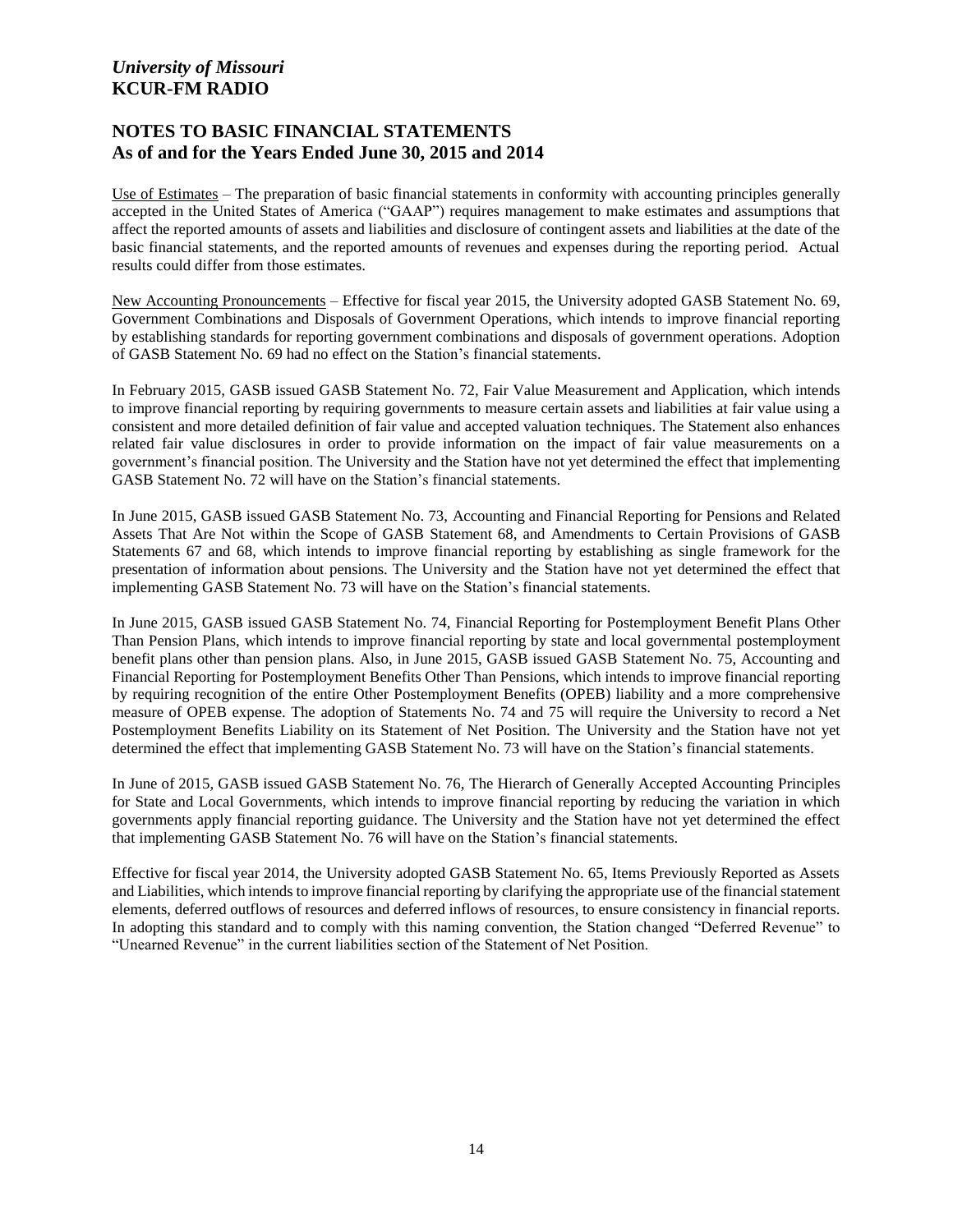### **NOTES TO BASIC FINANCIAL STATEMENTS As of and for the Years Ended June 30, 2015 and 2014**

Use of Estimates – The preparation of basic financial statements in conformity with accounting principles generally accepted in the United States of America ("GAAP") requires management to make estimates and assumptions that affect the reported amounts of assets and liabilities and disclosure of contingent assets and liabilities at the date of the basic financial statements, and the reported amounts of revenues and expenses during the reporting period. Actual results could differ from those estimates.

New Accounting Pronouncements – Effective for fiscal year 2015, the University adopted GASB Statement No. 69, Government Combinations and Disposals of Government Operations, which intends to improve financial reporting by establishing standards for reporting government combinations and disposals of government operations. Adoption of GASB Statement No. 69 had no effect on the Station's financial statements.

In February 2015, GASB issued GASB Statement No. 72, Fair Value Measurement and Application, which intends to improve financial reporting by requiring governments to measure certain assets and liabilities at fair value using a consistent and more detailed definition of fair value and accepted valuation techniques. The Statement also enhances related fair value disclosures in order to provide information on the impact of fair value measurements on a government's financial position. The University and the Station have not yet determined the effect that implementing GASB Statement No. 72 will have on the Station's financial statements.

In June 2015, GASB issued GASB Statement No. 73, Accounting and Financial Reporting for Pensions and Related Assets That Are Not within the Scope of GASB Statement 68, and Amendments to Certain Provisions of GASB Statements 67 and 68, which intends to improve financial reporting by establishing as single framework for the presentation of information about pensions. The University and the Station have not yet determined the effect that implementing GASB Statement No. 73 will have on the Station's financial statements.

In June 2015, GASB issued GASB Statement No. 74, Financial Reporting for Postemployment Benefit Plans Other Than Pension Plans, which intends to improve financial reporting by state and local governmental postemployment benefit plans other than pension plans. Also, in June 2015, GASB issued GASB Statement No. 75, Accounting and Financial Reporting for Postemployment Benefits Other Than Pensions, which intends to improve financial reporting by requiring recognition of the entire Other Postemployment Benefits (OPEB) liability and a more comprehensive measure of OPEB expense. The adoption of Statements No. 74 and 75 will require the University to record a Net Postemployment Benefits Liability on its Statement of Net Position. The University and the Station have not yet determined the effect that implementing GASB Statement No. 73 will have on the Station's financial statements.

In June of 2015, GASB issued GASB Statement No. 76, The Hierarch of Generally Accepted Accounting Principles for State and Local Governments, which intends to improve financial reporting by reducing the variation in which governments apply financial reporting guidance. The University and the Station have not yet determined the effect that implementing GASB Statement No. 76 will have on the Station's financial statements.

Effective for fiscal year 2014, the University adopted GASB Statement No. 65, Items Previously Reported as Assets and Liabilities, which intends to improve financial reporting by clarifying the appropriate use of the financial statement elements, deferred outflows of resources and deferred inflows of resources, to ensure consistency in financial reports. In adopting this standard and to comply with this naming convention, the Station changed "Deferred Revenue" to "Unearned Revenue" in the current liabilities section of the Statement of Net Position.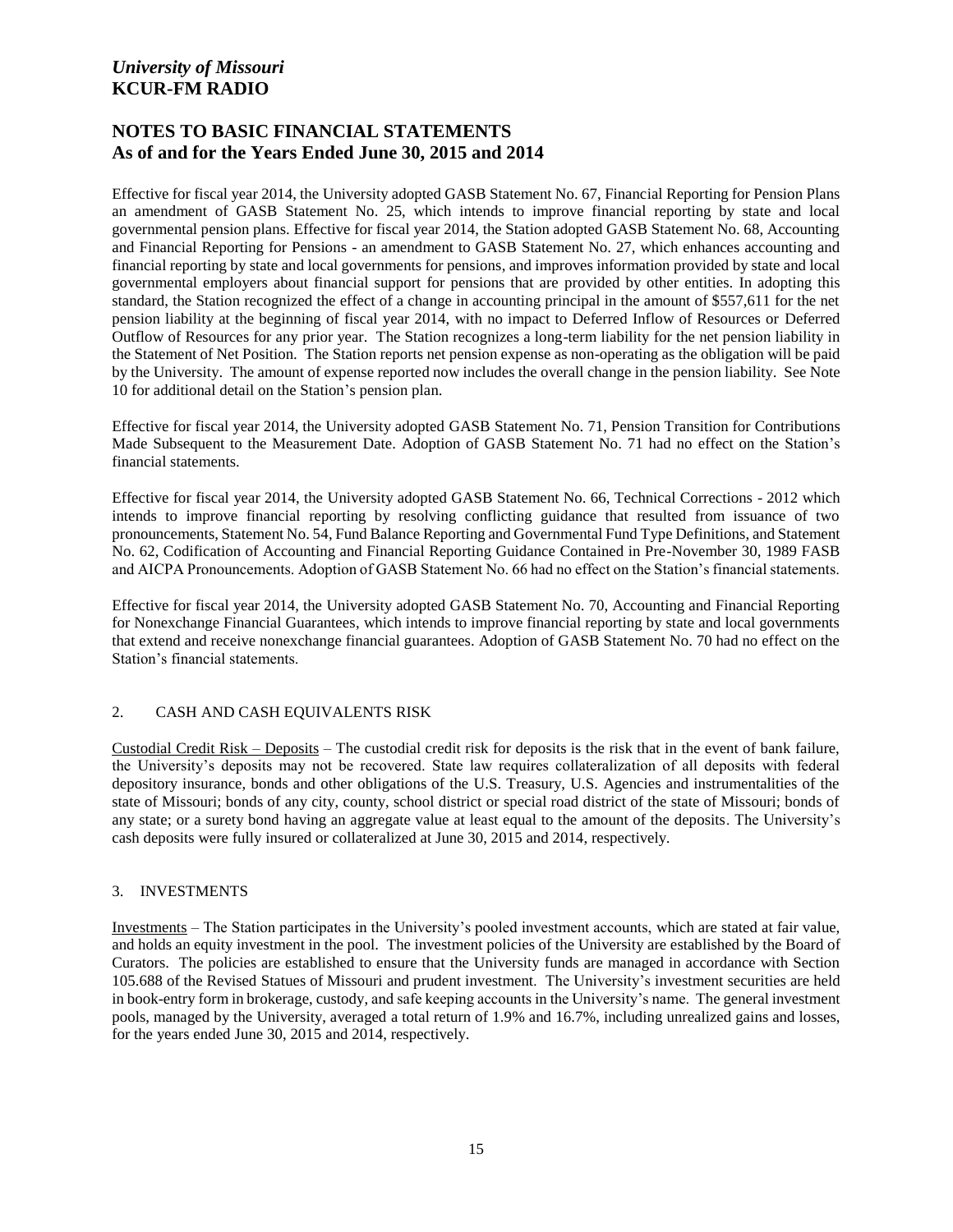## **NOTES TO BASIC FINANCIAL STATEMENTS As of and for the Years Ended June 30, 2015 and 2014**

Effective for fiscal year 2014, the University adopted GASB Statement No. 67, Financial Reporting for Pension Plans an amendment of GASB Statement No. 25, which intends to improve financial reporting by state and local governmental pension plans. Effective for fiscal year 2014, the Station adopted GASB Statement No. 68, Accounting and Financial Reporting for Pensions - an amendment to GASB Statement No. 27, which enhances accounting and financial reporting by state and local governments for pensions, and improves information provided by state and local governmental employers about financial support for pensions that are provided by other entities. In adopting this standard, the Station recognized the effect of a change in accounting principal in the amount of \$557,611 for the net pension liability at the beginning of fiscal year 2014, with no impact to Deferred Inflow of Resources or Deferred Outflow of Resources for any prior year. The Station recognizes a long-term liability for the net pension liability in the Statement of Net Position. The Station reports net pension expense as non-operating as the obligation will be paid by the University. The amount of expense reported now includes the overall change in the pension liability. See Note 10 for additional detail on the Station's pension plan.

Effective for fiscal year 2014, the University adopted GASB Statement No. 71, Pension Transition for Contributions Made Subsequent to the Measurement Date. Adoption of GASB Statement No. 71 had no effect on the Station's financial statements.

Effective for fiscal year 2014, the University adopted GASB Statement No. 66, Technical Corrections - 2012 which intends to improve financial reporting by resolving conflicting guidance that resulted from issuance of two pronouncements, Statement No. 54, Fund Balance Reporting and Governmental Fund Type Definitions, and Statement No. 62, Codification of Accounting and Financial Reporting Guidance Contained in Pre-November 30, 1989 FASB and AICPA Pronouncements. Adoption of GASB Statement No. 66 had no effect on the Station's financial statements.

Effective for fiscal year 2014, the University adopted GASB Statement No. 70, Accounting and Financial Reporting for Nonexchange Financial Guarantees, which intends to improve financial reporting by state and local governments that extend and receive nonexchange financial guarantees. Adoption of GASB Statement No. 70 had no effect on the Station's financial statements.

#### 2. CASH AND CASH EQUIVALENTS RISK

Custodial Credit Risk – Deposits – The custodial credit risk for deposits is the risk that in the event of bank failure, the University's deposits may not be recovered. State law requires collateralization of all deposits with federal depository insurance, bonds and other obligations of the U.S. Treasury, U.S. Agencies and instrumentalities of the state of Missouri; bonds of any city, county, school district or special road district of the state of Missouri; bonds of any state; or a surety bond having an aggregate value at least equal to the amount of the deposits. The University's cash deposits were fully insured or collateralized at June 30, 2015 and 2014, respectively.

#### 3. INVESTMENTS

Investments – The Station participates in the University's pooled investment accounts, which are stated at fair value, and holds an equity investment in the pool. The investment policies of the University are established by the Board of Curators. The policies are established to ensure that the University funds are managed in accordance with Section 105.688 of the Revised Statues of Missouri and prudent investment. The University's investment securities are held in book-entry form in brokerage, custody, and safe keeping accounts in the University's name. The general investment pools, managed by the University, averaged a total return of 1.9% and 16.7%, including unrealized gains and losses, for the years ended June 30, 2015 and 2014, respectively.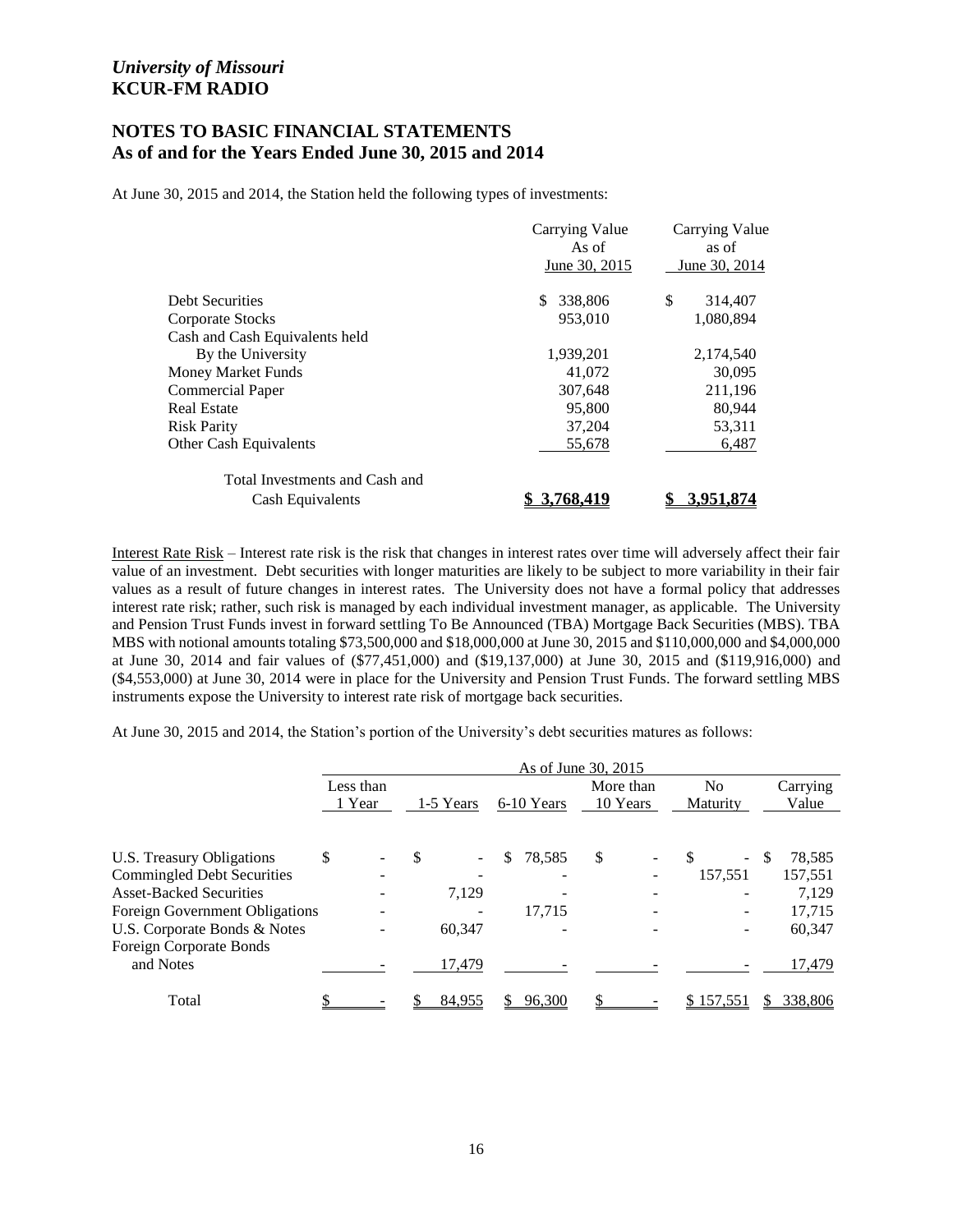At June 30, 2015 and 2014, the Station held the following types of investments:

|                                | Carrying Value | Carrying Value |
|--------------------------------|----------------|----------------|
|                                | As of          | as of          |
|                                | June 30, 2015  | June 30, 2014  |
| <b>Debt Securities</b>         | 338,806<br>S.  | \$<br>314,407  |
| Corporate Stocks               | 953,010        | 1,080,894      |
| Cash and Cash Equivalents held |                |                |
| By the University              | 1.939.201      | 2,174,540      |
| Money Market Funds             | 41,072         | 30,095         |
| Commercial Paper               | 307,648        | 211,196        |
| Real Estate                    | 95,800         | 80,944         |
| Risk Parity                    | 37,204         | 53,311         |
| Other Cash Equivalents         | 55,678         | 6,487          |
| Total Investments and Cash and |                |                |
| Cash Equivalents               | 3,768,419      | 3,951,874      |

Interest Rate Risk – Interest rate risk is the risk that changes in interest rates over time will adversely affect their fair value of an investment. Debt securities with longer maturities are likely to be subject to more variability in their fair values as a result of future changes in interest rates. The University does not have a formal policy that addresses interest rate risk; rather, such risk is managed by each individual investment manager, as applicable. The University and Pension Trust Funds invest in forward settling To Be Announced (TBA) Mortgage Back Securities (MBS). TBA MBS with notional amounts totaling \$73,500,000 and \$18,000,000 at June 30, 2015 and \$110,000,000 and \$4,000,000 at June 30, 2014 and fair values of (\$77,451,000) and (\$19,137,000) at June 30, 2015 and (\$119,916,000) and (\$4,553,000) at June 30, 2014 were in place for the University and Pension Trust Funds. The forward settling MBS instruments expose the University to interest rate risk of mortgage back securities.

At June 30, 2015 and 2014, the Station's portion of the University's debt securities matures as follows:

|                                   | As of June 30, 2015 |           |           |        |            |        |          |           |           |     |          |  |
|-----------------------------------|---------------------|-----------|-----------|--------|------------|--------|----------|-----------|-----------|-----|----------|--|
|                                   |                     | Less than |           |        |            |        |          | More than | No        |     | Carrying |  |
|                                   |                     | 1 Year    | 1-5 Years |        | 6-10 Years |        | 10 Years |           | Maturity  |     | Value    |  |
|                                   |                     |           |           |        |            |        |          |           |           |     |          |  |
| U.S. Treasury Obligations         | \$                  |           | S         |        | \$         | 78,585 | \$       |           | ÷         | \$. | 78,585   |  |
| <b>Commingled Debt Securities</b> |                     |           |           |        |            |        |          |           | 157.551   |     | 157,551  |  |
| <b>Asset-Backed Securities</b>    |                     |           |           | 7,129  |            |        |          |           |           |     | 7,129    |  |
| Foreign Government Obligations    |                     |           |           |        |            | 17.715 |          |           |           |     | 17,715   |  |
| U.S. Corporate Bonds & Notes      |                     |           |           | 60,347 |            | -      |          |           |           |     | 60,347   |  |
| Foreign Corporate Bonds           |                     |           |           |        |            |        |          |           |           |     |          |  |
| and Notes                         |                     |           |           | 17,479 |            |        |          |           |           |     | 17,479   |  |
| Total                             |                     |           |           | 84,955 |            | 96,300 |          |           | \$157,551 | S   | 338,806  |  |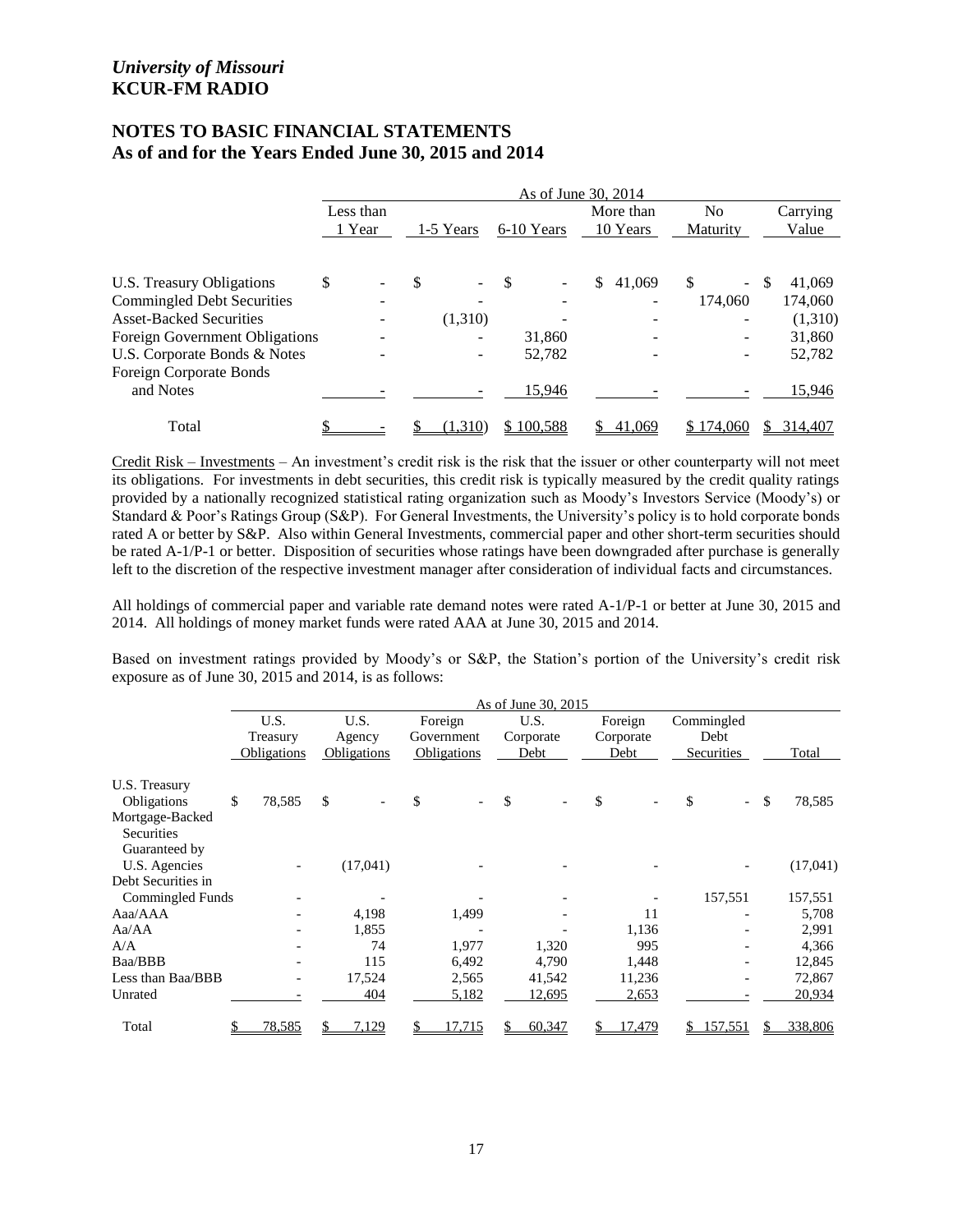|                                   |           |           |         |            | As of June 30, 2014      |          |           |                |                |              |
|-----------------------------------|-----------|-----------|---------|------------|--------------------------|----------|-----------|----------------|----------------|--------------|
|                                   | Less than |           |         |            |                          |          | More than | N <sub>0</sub> |                | Carrying     |
|                                   | 1 Year    | 1-5 Years |         | 6-10 Years |                          | 10 Years |           | Maturity       |                | Value        |
|                                   |           |           |         |            |                          |          |           |                |                |              |
| U.S. Treasury Obligations         | \$        | \$        |         | -S         |                          | S.       | 41,069    | \$             | $\overline{a}$ | \$<br>41,069 |
| <b>Commingled Debt Securities</b> |           |           |         |            | $\overline{\phantom{a}}$ |          |           |                | 174,060        | 174,060      |
| <b>Asset-Backed Securities</b>    |           |           | (1,310) |            |                          |          |           |                |                | (1,310)      |
| Foreign Government Obligations    |           |           |         |            | 31,860                   |          |           |                |                | 31,860       |
| U.S. Corporate Bonds & Notes      |           |           |         |            | 52,782                   |          |           |                |                | 52,782       |
| Foreign Corporate Bonds           |           |           |         |            |                          |          |           |                |                |              |
| and Notes                         |           |           |         |            | 15,946                   |          |           |                |                | 15,946       |
| Total                             |           |           | (1,310) |            | \$100,588                |          | 41.069    |                | 174.060        | 314,407      |

Credit Risk – Investments – An investment's credit risk is the risk that the issuer or other counterparty will not meet its obligations. For investments in debt securities, this credit risk is typically measured by the credit quality ratings provided by a nationally recognized statistical rating organization such as Moody's Investors Service (Moody's) or Standard & Poor's Ratings Group (S&P). For General Investments, the University's policy is to hold corporate bonds rated A or better by S&P. Also within General Investments, commercial paper and other short-term securities should be rated A-1/P-1 or better. Disposition of securities whose ratings have been downgraded after purchase is generally left to the discretion of the respective investment manager after consideration of individual facts and circumstances.

All holdings of commercial paper and variable rate demand notes were rated A-1/P-1 or better at June 30, 2015 and 2014. All holdings of money market funds were rated AAA at June 30, 2015 and 2014.

Based on investment ratings provided by Moody's or S&P, the Station's portion of the University's credit risk exposure as of June 30, 2015 and 2014, is as follows:

|                                      | As of June 30, 2015 |    |             |            |             |           |        |                 |        |            |                |    |          |
|--------------------------------------|---------------------|----|-------------|------------|-------------|-----------|--------|-----------------|--------|------------|----------------|----|----------|
|                                      | U.S.<br>U.S.        |    |             |            | Foreign     |           |        | U.S.<br>Foreign |        | Commingled |                |    |          |
|                                      | Treasury            |    | Agency      | Government |             | Corporate |        | Corporate       |        | Debt       |                |    |          |
|                                      | Obligations         |    | Obligations |            | Obligations |           | Debt   |                 | Debt   |            | Securities     |    | Total    |
|                                      |                     |    |             |            |             |           |        |                 |        |            |                |    |          |
| U.S. Treasury                        |                     |    |             |            |             |           |        |                 |        |            |                |    |          |
| Obligations                          | \$<br>78,585        | \$ |             | \$         |             | \$        |        | \$              |        | \$         | $\blacksquare$ | \$ | 78,585   |
| Mortgage-Backed<br><b>Securities</b> |                     |    |             |            |             |           |        |                 |        |            |                |    |          |
| Guaranteed by                        |                     |    |             |            |             |           |        |                 |        |            |                |    |          |
| U.S. Agencies                        |                     |    | (17,041)    |            |             |           |        |                 |        |            |                |    | (17,041) |
| Debt Securities in                   |                     |    |             |            |             |           |        |                 |        |            |                |    |          |
| Commingled Funds                     |                     |    |             |            |             |           |        |                 |        |            | 157,551        |    | 157,551  |
| Aaa/AAA                              |                     |    | 4,198       |            | 1,499       |           |        |                 | 11     |            |                |    | 5,708    |
| Aa/AA                                |                     |    | 1,855       |            |             |           |        |                 | 1,136  |            |                |    | 2,991    |
| A/A                                  |                     |    | 74          |            | 1,977       |           | 1,320  |                 | 995    |            |                |    | 4,366    |
| Baa/BBB                              |                     |    | 115         |            | 6,492       |           | 4,790  |                 | 1,448  |            |                |    | 12,845   |
| Less than Baa/BBB                    |                     |    | 17,524      |            | 2,565       |           | 41,542 |                 | 11,236 |            |                |    | 72,867   |
| Unrated                              |                     |    | 404         |            | 5,182       |           | 12,695 |                 | 2,653  |            |                |    | 20,934   |
| Total                                | <u>78,585</u>       |    | 7,129       |            | 17,715      |           | 60,347 |                 | 17,479 | S          | 157,551        |    | 338,806  |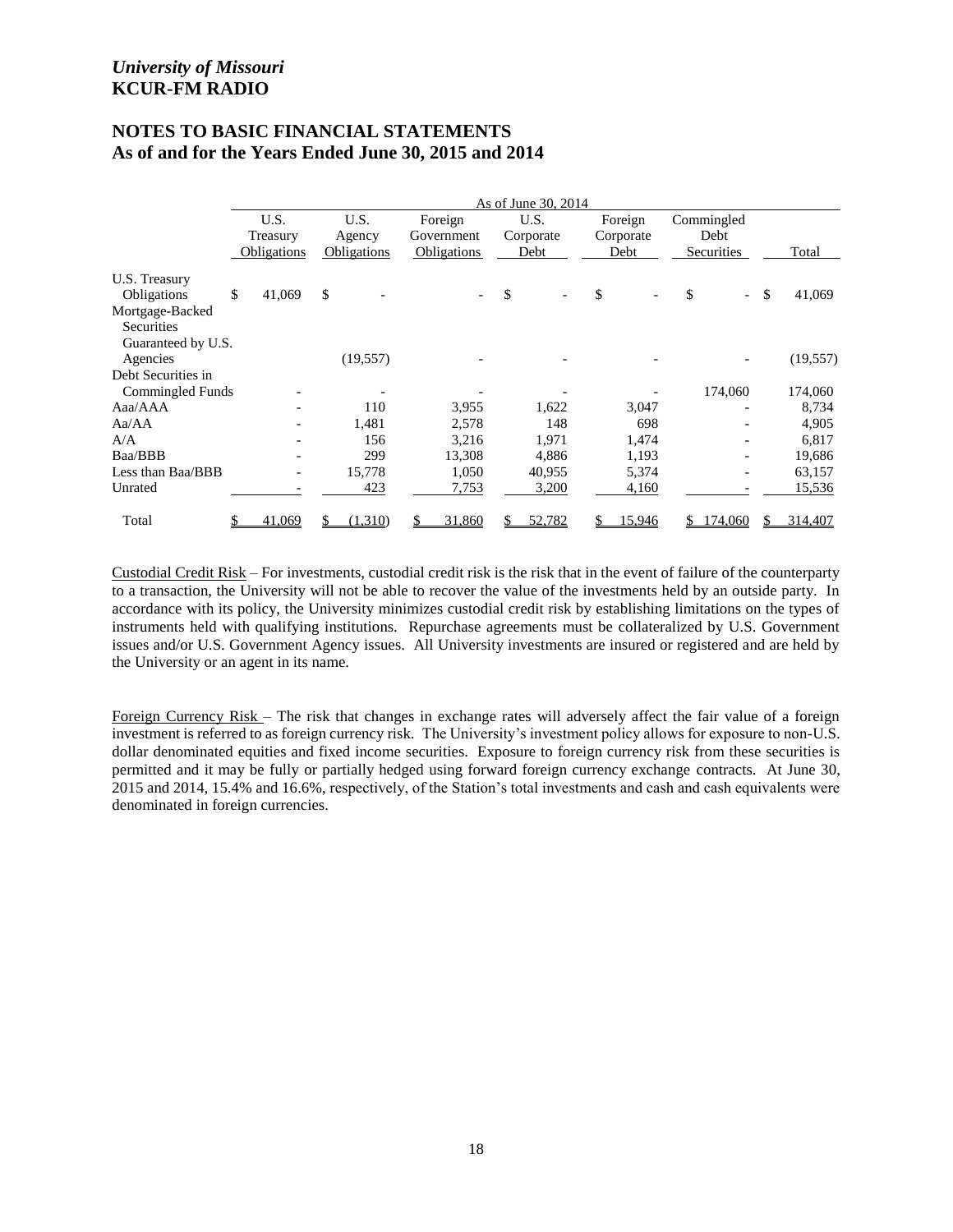|                    |              |             |                    | As of June 30, 2014                |           |            |                |    |           |
|--------------------|--------------|-------------|--------------------|------------------------------------|-----------|------------|----------------|----|-----------|
|                    | U.S.         | U.S.        | Foreign            | U.S.                               | Foreign   | Commingled |                |    |           |
|                    | Treasury     | Agency      | Government         | Corporate                          | Corporate |            | Debt           |    |           |
|                    | Obligations  | Obligations | <b>Obligations</b> | Debt                               | Debt      |            | Securities     |    | Total     |
| U.S. Treasury      |              |             |                    |                                    |           |            |                |    |           |
| Obligations        | \$<br>41,069 | \$          |                    | \$<br>$\qquad \qquad \blacksquare$ | \$        | \$         | $\blacksquare$ | \$ | 41,069    |
| Mortgage-Backed    |              |             |                    |                                    |           |            |                |    |           |
| Securities         |              |             |                    |                                    |           |            |                |    |           |
| Guaranteed by U.S. |              |             |                    |                                    |           |            |                |    |           |
| Agencies           |              | (19, 557)   |                    |                                    |           |            |                |    | (19, 557) |
| Debt Securities in |              |             |                    |                                    |           |            |                |    |           |
| Commingled Funds   |              |             |                    |                                    |           |            | 174,060        |    | 174,060   |
| Aaa/AAA            |              | 110         | 3,955              | 1,622                              | 3,047     |            |                |    | 8,734     |
| Aa/AA              |              | 1,481       | 2,578              | 148                                | 698       |            |                |    | 4,905     |
| A/A                |              | 156         | 3,216              | 1,971                              | 1,474     |            |                |    | 6,817     |
| Baa/BBB            |              | 299         | 13,308             | 4,886                              | 1,193     |            |                |    | 19,686    |
| Less than Baa/BBB  |              | 15,778      | 1,050              | 40,955                             | 5,374     |            |                |    | 63,157    |
| Unrated            |              | 423         | 7,753              | 3,200                              | 4,160     |            |                |    | 15,536    |
|                    |              |             |                    |                                    |           |            |                |    |           |
| Total              | 41,069       | (1,310)     | 31,860             | 52,782                             | 15,946    | S.         | 174,060        | S  | 314,407   |

Custodial Credit Risk – For investments, custodial credit risk is the risk that in the event of failure of the counterparty to a transaction, the University will not be able to recover the value of the investments held by an outside party. In accordance with its policy, the University minimizes custodial credit risk by establishing limitations on the types of instruments held with qualifying institutions. Repurchase agreements must be collateralized by U.S. Government issues and/or U.S. Government Agency issues. All University investments are insured or registered and are held by the University or an agent in its name.

Foreign Currency Risk – The risk that changes in exchange rates will adversely affect the fair value of a foreign investment is referred to as foreign currency risk. The University's investment policy allows for exposure to non-U.S. dollar denominated equities and fixed income securities. Exposure to foreign currency risk from these securities is permitted and it may be fully or partially hedged using forward foreign currency exchange contracts. At June 30, 2015 and 2014, 15.4% and 16.6%, respectively, of the Station's total investments and cash and cash equivalents were denominated in foreign currencies.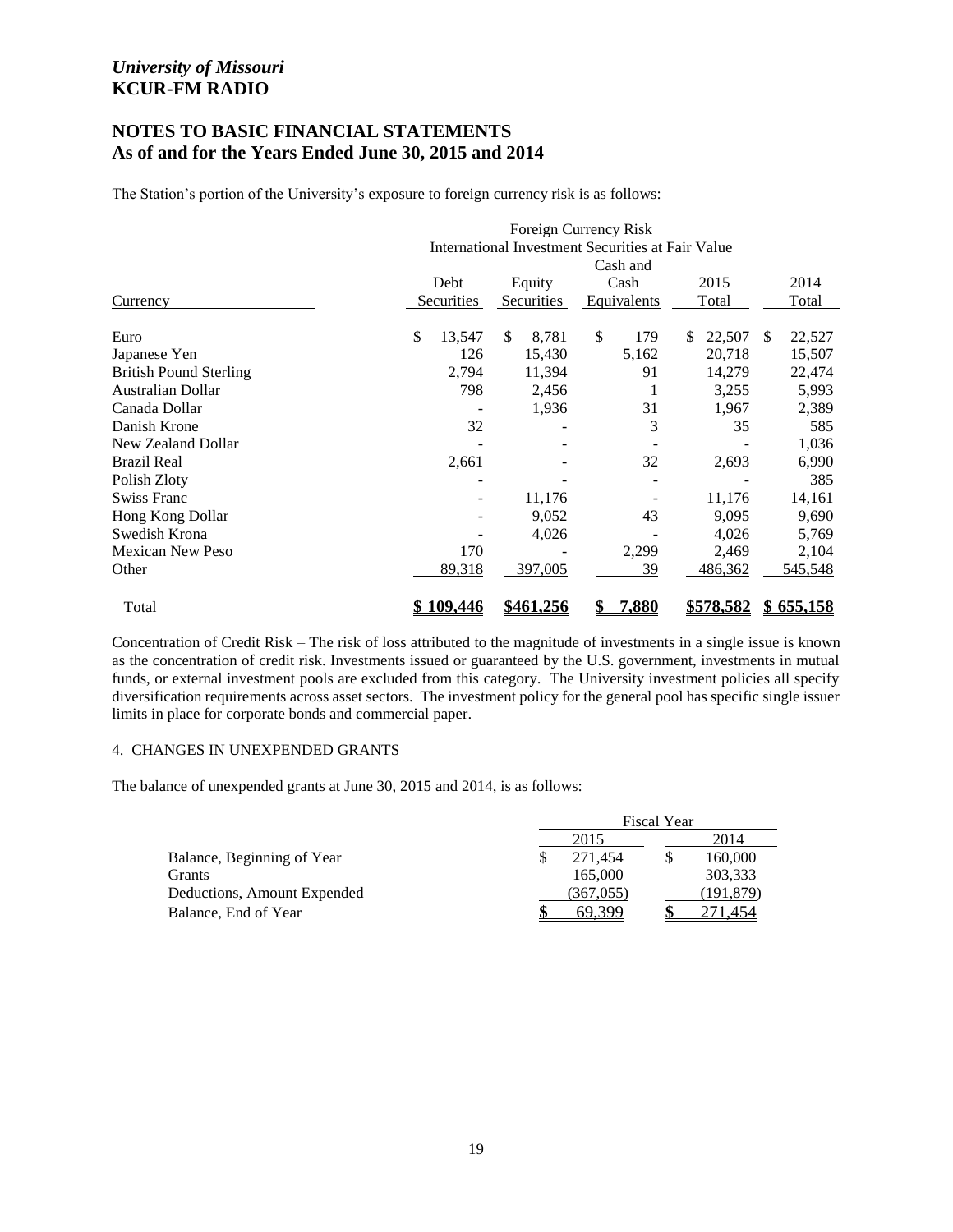The Station's portion of the University's exposure to foreign currency risk is as follows:

|                               | Foreign Currency Risk |                   |                                                   |                |               |  |  |  |
|-------------------------------|-----------------------|-------------------|---------------------------------------------------|----------------|---------------|--|--|--|
|                               |                       |                   | International Investment Securities at Fair Value |                |               |  |  |  |
|                               |                       |                   | Cash and                                          |                |               |  |  |  |
|                               | Debt                  | Equity            | Cash                                              | 2015           | 2014          |  |  |  |
| Currency                      | <b>Securities</b>     | <b>Securities</b> | Equivalents                                       | Total          | Total         |  |  |  |
| Euro                          | \$<br>13,547          | \$<br>8,781       | \$<br>179                                         | 22,507<br>S    | \$.<br>22,527 |  |  |  |
| Japanese Yen                  | 126                   | 15,430            | 5,162                                             | 20,718         | 15,507        |  |  |  |
| <b>British Pound Sterling</b> | 2,794                 | 11,394            | 91                                                | 14,279         | 22,474        |  |  |  |
| Australian Dollar             | 798                   | 2,456             |                                                   | 3,255          | 5,993         |  |  |  |
| Canada Dollar                 |                       | 1,936             | 31                                                | 1,967          | 2,389         |  |  |  |
| Danish Krone                  | 32                    |                   | 3                                                 | 35             | 585           |  |  |  |
| New Zealand Dollar            |                       |                   |                                                   |                | 1,036         |  |  |  |
| <b>Brazil Real</b>            | 2,661                 |                   | 32                                                | 2,693          | 6,990         |  |  |  |
| Polish Zloty                  |                       |                   |                                                   |                | 385           |  |  |  |
| <b>Swiss Franc</b>            |                       | 11,176            |                                                   | 11,176         | 14,161        |  |  |  |
| Hong Kong Dollar              |                       | 9,052             | 43                                                | 9,095          | 9,690         |  |  |  |
| Swedish Krona                 |                       | 4,026             |                                                   | 4,026          | 5,769         |  |  |  |
| <b>Mexican New Peso</b>       | 170                   |                   | 2,299                                             | 2,469          | 2,104         |  |  |  |
| Other                         | 89,318                | 397,005           | 39                                                | <u>486,362</u> | 545,548       |  |  |  |
| Total                         | 109,446               | \$461,256         | 7,880                                             | \$578,582      | \$655,158     |  |  |  |

Concentration of Credit Risk – The risk of loss attributed to the magnitude of investments in a single issue is known as the concentration of credit risk. Investments issued or guaranteed by the U.S. government, investments in mutual funds, or external investment pools are excluded from this category. The University investment policies all specify diversification requirements across asset sectors. The investment policy for the general pool has specific single issuer limits in place for corporate bonds and commercial paper.

#### 4. CHANGES IN UNEXPENDED GRANTS

The balance of unexpended grants at June 30, 2015 and 2014, is as follows:

|                             | <b>Fiscal Year</b> |           |  |  |  |
|-----------------------------|--------------------|-----------|--|--|--|
|                             | 2015               | 2014      |  |  |  |
| Balance, Beginning of Year  | 271.454<br>S       | 160,000   |  |  |  |
| <b>Grants</b>               | 165,000            | 303,333   |  |  |  |
| Deductions, Amount Expended | (367, 055)         | (191,879) |  |  |  |
| Balance, End of Year        | 69 399             |           |  |  |  |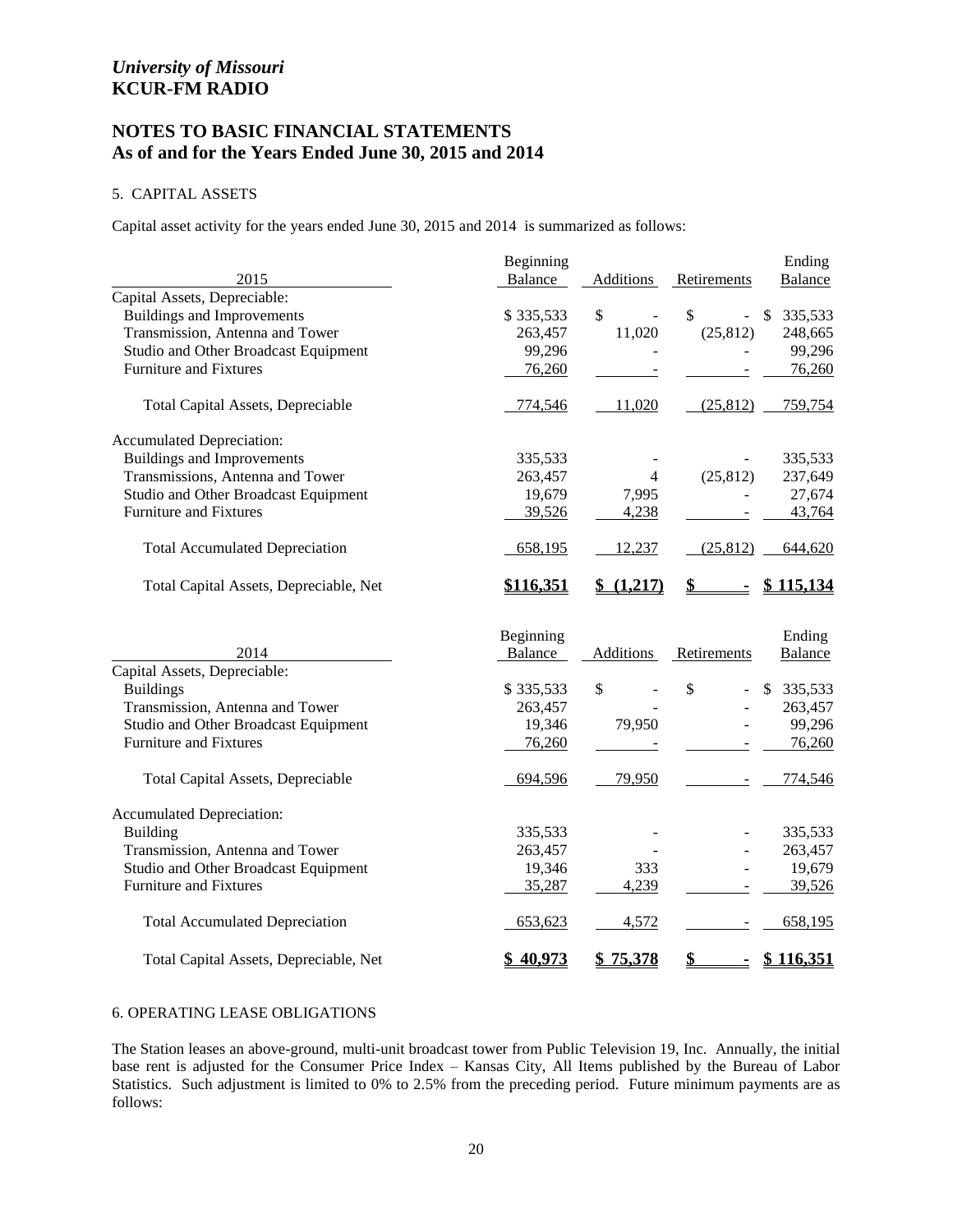### **NOTES TO BASIC FINANCIAL STATEMENTS As of and for the Years Ended June 30, 2015 and 2014**

#### 5. CAPITAL ASSETS

Capital asset activity for the years ended June 30, 2015 and 2014 is summarized as follows:

| 2015                                     | Beginning |                |                | Ending                             |
|------------------------------------------|-----------|----------------|----------------|------------------------------------|
| Capital Assets, Depreciable:             | Balance   | Additions      | Retirements    | Balance                            |
| <b>Buildings and Improvements</b>        | \$335,533 | \$             | \$             | \$<br>335,533                      |
| Transmission, Antenna and Tower          | 263,457   | 11,020         | (25, 812)      | 248,665                            |
| Studio and Other Broadcast Equipment     | 99,296    |                |                | 99,296                             |
| Furniture and Fixtures                   | 76,260    |                |                | 76,260                             |
|                                          |           |                |                |                                    |
| <b>Total Capital Assets, Depreciable</b> | 774,546   | 11,020         | (25,812)       | 759,754                            |
| Accumulated Depreciation:                |           |                |                |                                    |
| <b>Buildings and Improvements</b>        | 335,533   |                |                | 335,533                            |
| Transmissions, Antenna and Tower         | 263,457   | $\overline{4}$ | (25, 812)      | 237,649                            |
| Studio and Other Broadcast Equipment     | 19,679    | 7,995          |                | 27,674                             |
| <b>Furniture and Fixtures</b>            | 39,526    | 4,238          |                | 43,764                             |
| <b>Total Accumulated Depreciation</b>    | 658,195   | 12,237         | (25, 812)      | 644,620                            |
| Total Capital Assets, Depreciable, Net   | \$116,351 | \$(1,217)      | $\mathbf{\$\}$ | \$115,134                          |
|                                          | Beginning |                |                | Ending                             |
| 2014                                     | Balance   | Additions      | Retirements    | <b>Balance</b>                     |
| Capital Assets, Depreciable:             |           |                |                |                                    |
| <b>Buildings</b>                         | \$335,533 | \$             | \$             | 335,533<br>\$.                     |
| Transmission, Antenna and Tower          | 263,457   |                |                | 263,457                            |
| Studio and Other Broadcast Equipment     | 19,346    | 79,950         |                | 99,296                             |
| <b>Furniture and Fixtures</b>            | 76,260    |                |                | 76,260                             |
| <b>Total Capital Assets, Depreciable</b> | 694,596   | 79,950         |                | 774,546                            |
| Accumulated Depreciation:                |           |                |                |                                    |
| <b>Building</b>                          | 335,533   |                |                | 335,533                            |
| Transmission, Antenna and Tower          | 263,457   |                | $\overline{a}$ | 263,457                            |
| Studio and Other Broadcast Equipment     | 19,346    | 333            |                | 19,679                             |
| <b>Furniture and Fixtures</b>            | 35,287    | 4,239          |                | 39,526                             |
| <b>Total Accumulated Depreciation</b>    | 653,623   | 4,572          |                | 658,195                            |
| Total Capital Assets, Depreciable, Net   | \$40.973  | 75,378<br>\$   | \$             | $\mathbf{\mathbf{\$\}}$<br>116.351 |

#### 6. OPERATING LEASE OBLIGATIONS

The Station leases an above-ground, multi-unit broadcast tower from Public Television 19, Inc. Annually, the initial base rent is adjusted for the Consumer Price Index – Kansas City, All Items published by the Bureau of Labor Statistics. Such adjustment is limited to 0% to 2.5% from the preceding period. Future minimum payments are as follows: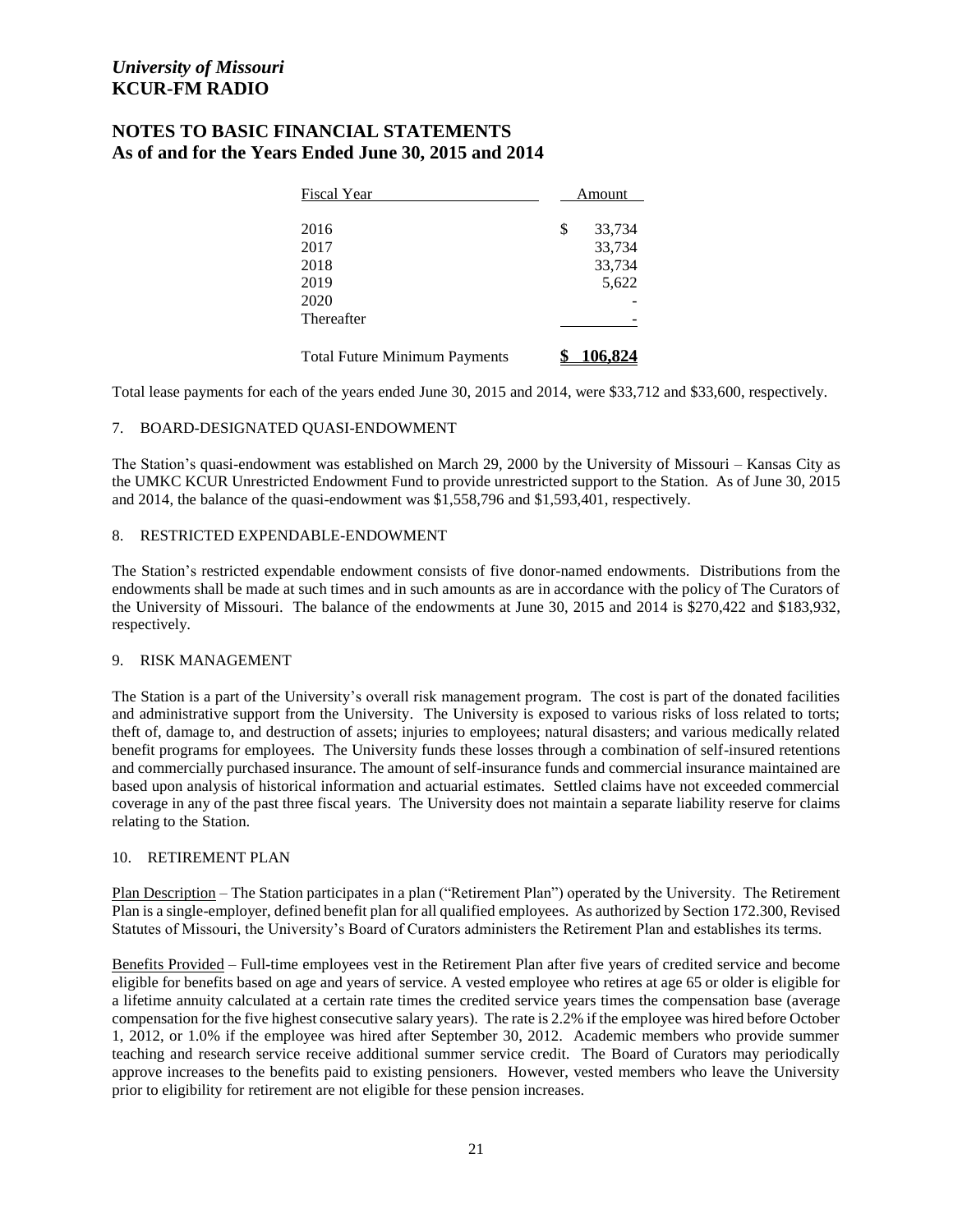| <b>Fiscal Year</b>                   | Amount |                  |  |  |
|--------------------------------------|--------|------------------|--|--|
| 2016                                 | \$     | 33,734           |  |  |
| 2017<br>2018                         |        | 33,734<br>33,734 |  |  |
| 2019                                 |        | 5,622            |  |  |
| 2020                                 |        |                  |  |  |
| Thereafter                           |        |                  |  |  |
| <b>Total Future Minimum Payments</b> |        | 106.824          |  |  |

Total lease payments for each of the years ended June 30, 2015 and 2014, were \$33,712 and \$33,600, respectively.

#### 7. BOARD-DESIGNATED QUASI-ENDOWMENT

The Station's quasi-endowment was established on March 29, 2000 by the University of Missouri – Kansas City as the UMKC KCUR Unrestricted Endowment Fund to provide unrestricted support to the Station. As of June 30, 2015 and 2014, the balance of the quasi-endowment was \$1,558,796 and \$1,593,401, respectively.

#### 8. RESTRICTED EXPENDABLE-ENDOWMENT

The Station's restricted expendable endowment consists of five donor-named endowments. Distributions from the endowments shall be made at such times and in such amounts as are in accordance with the policy of The Curators of the University of Missouri. The balance of the endowments at June 30, 2015 and 2014 is \$270,422 and \$183,932, respectively.

#### 9. RISK MANAGEMENT

The Station is a part of the University's overall risk management program. The cost is part of the donated facilities and administrative support from the University. The University is exposed to various risks of loss related to torts; theft of, damage to, and destruction of assets; injuries to employees; natural disasters; and various medically related benefit programs for employees. The University funds these losses through a combination of self-insured retentions and commercially purchased insurance. The amount of self-insurance funds and commercial insurance maintained are based upon analysis of historical information and actuarial estimates. Settled claims have not exceeded commercial coverage in any of the past three fiscal years. The University does not maintain a separate liability reserve for claims relating to the Station.

#### 10. RETIREMENT PLAN

Plan Description – The Station participates in a plan ("Retirement Plan") operated by the University. The Retirement Plan is a single-employer, defined benefit plan for all qualified employees. As authorized by Section 172.300, Revised Statutes of Missouri, the University's Board of Curators administers the Retirement Plan and establishes its terms.

Benefits Provided – Full-time employees vest in the Retirement Plan after five years of credited service and become eligible for benefits based on age and years of service. A vested employee who retires at age 65 or older is eligible for a lifetime annuity calculated at a certain rate times the credited service years times the compensation base (average compensation for the five highest consecutive salary years). The rate is 2.2% if the employee was hired before October 1, 2012, or 1.0% if the employee was hired after September 30, 2012. Academic members who provide summer teaching and research service receive additional summer service credit. The Board of Curators may periodically approve increases to the benefits paid to existing pensioners. However, vested members who leave the University prior to eligibility for retirement are not eligible for these pension increases.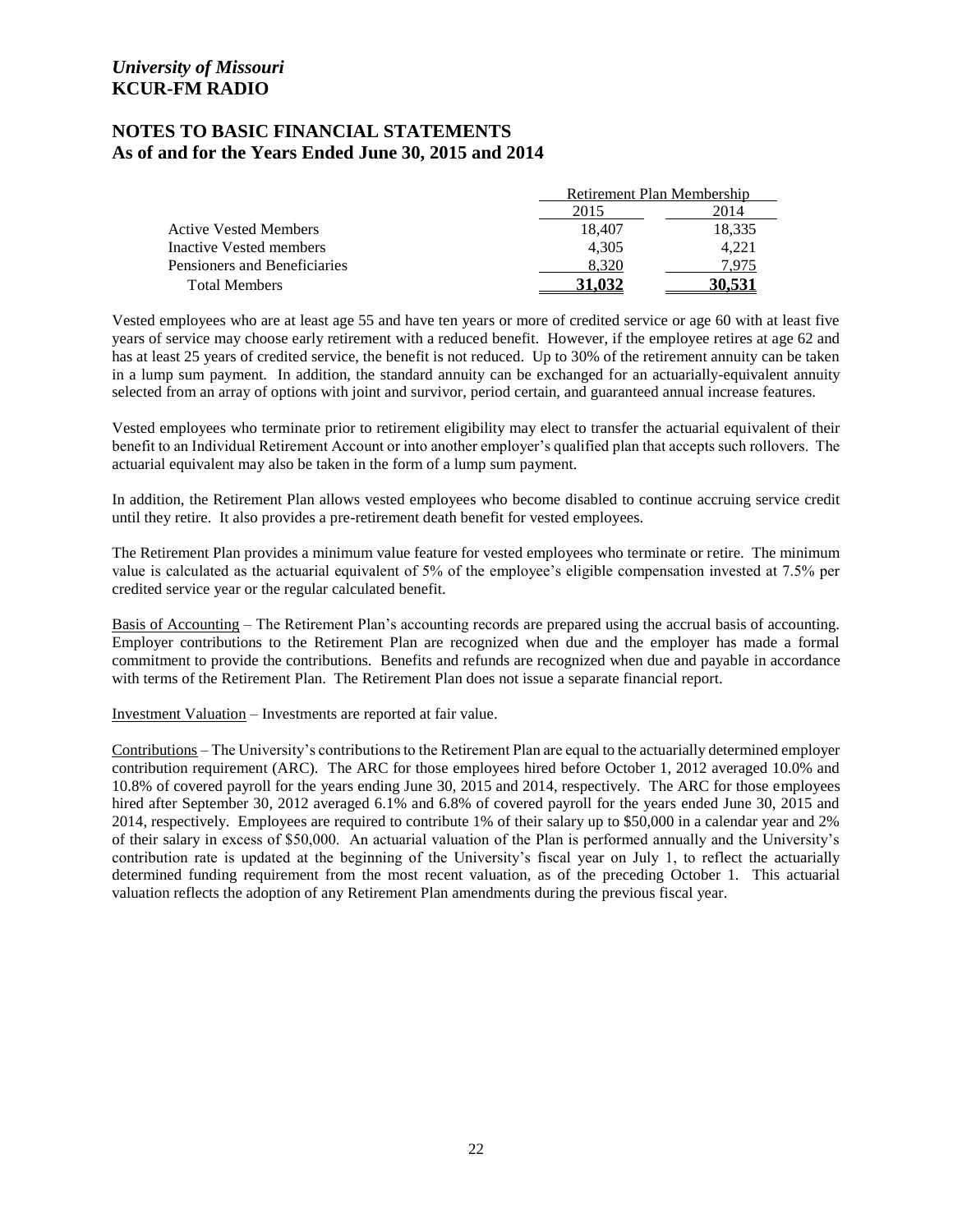|                              | Retirement Plan Membership |        |
|------------------------------|----------------------------|--------|
|                              | 2015                       | 2014   |
| <b>Active Vested Members</b> | 18.407                     | 18,335 |
| Inactive Vested members      | 4.305                      | 4.221  |
| Pensioners and Beneficiaries | 8.320                      | 7.975  |
| <b>Total Members</b>         |                            |        |

Vested employees who are at least age 55 and have ten years or more of credited service or age 60 with at least five years of service may choose early retirement with a reduced benefit. However, if the employee retires at age 62 and has at least 25 years of credited service, the benefit is not reduced. Up to 30% of the retirement annuity can be taken in a lump sum payment. In addition, the standard annuity can be exchanged for an actuarially-equivalent annuity selected from an array of options with joint and survivor, period certain, and guaranteed annual increase features.

Vested employees who terminate prior to retirement eligibility may elect to transfer the actuarial equivalent of their benefit to an Individual Retirement Account or into another employer's qualified plan that accepts such rollovers. The actuarial equivalent may also be taken in the form of a lump sum payment.

In addition, the Retirement Plan allows vested employees who become disabled to continue accruing service credit until they retire. It also provides a pre-retirement death benefit for vested employees.

The Retirement Plan provides a minimum value feature for vested employees who terminate or retire. The minimum value is calculated as the actuarial equivalent of 5% of the employee's eligible compensation invested at 7.5% per credited service year or the regular calculated benefit.

Basis of Accounting – The Retirement Plan's accounting records are prepared using the accrual basis of accounting. Employer contributions to the Retirement Plan are recognized when due and the employer has made a formal commitment to provide the contributions. Benefits and refunds are recognized when due and payable in accordance with terms of the Retirement Plan. The Retirement Plan does not issue a separate financial report.

Investment Valuation – Investments are reported at fair value.

Contributions – The University's contributions to the Retirement Plan are equal to the actuarially determined employer contribution requirement (ARC). The ARC for those employees hired before October 1, 2012 averaged 10.0% and 10.8% of covered payroll for the years ending June 30, 2015 and 2014, respectively. The ARC for those employees hired after September 30, 2012 averaged 6.1% and 6.8% of covered payroll for the years ended June 30, 2015 and 2014, respectively. Employees are required to contribute 1% of their salary up to \$50,000 in a calendar year and 2% of their salary in excess of \$50,000. An actuarial valuation of the Plan is performed annually and the University's contribution rate is updated at the beginning of the University's fiscal year on July 1, to reflect the actuarially determined funding requirement from the most recent valuation, as of the preceding October 1. This actuarial valuation reflects the adoption of any Retirement Plan amendments during the previous fiscal year.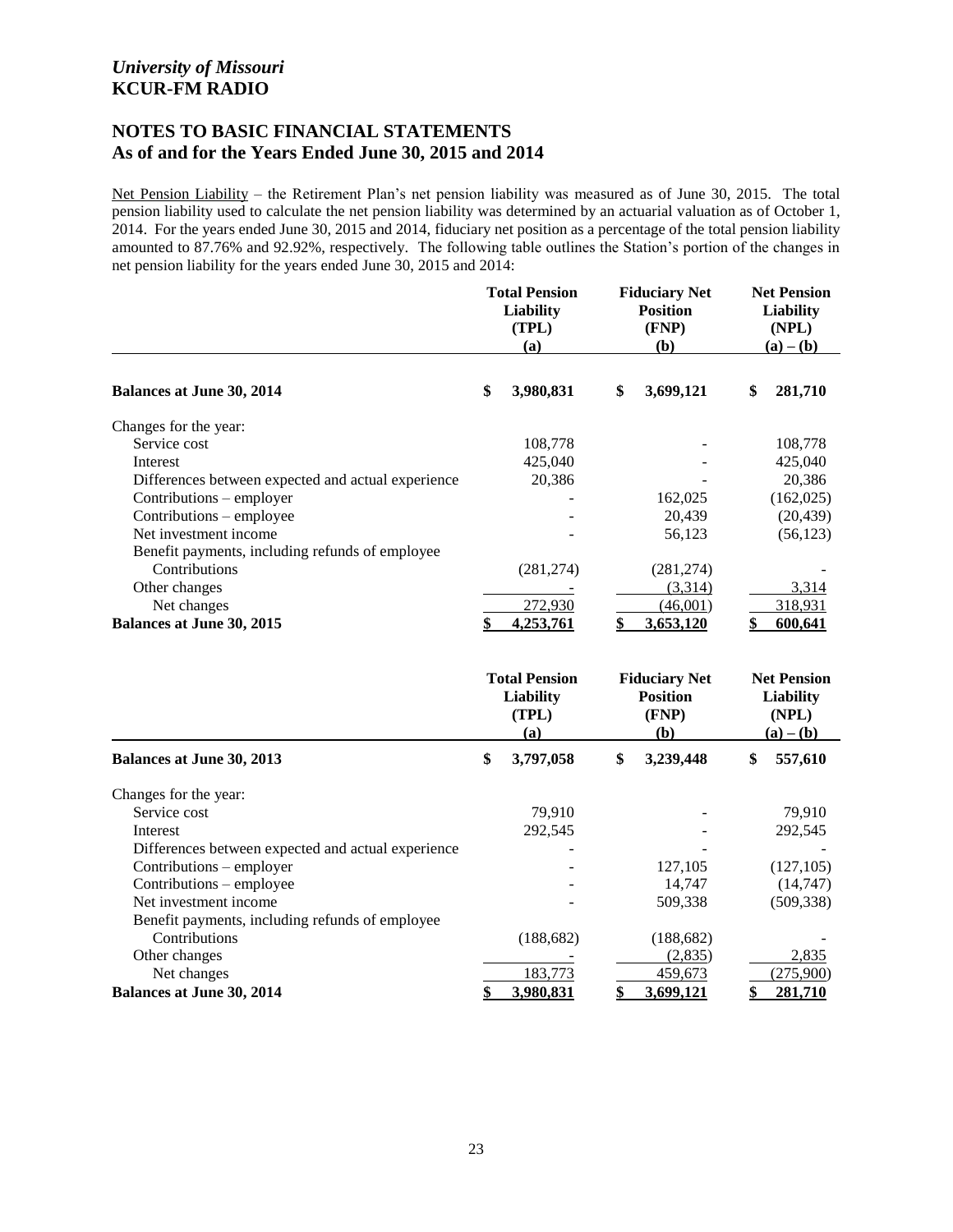Net Pension Liability – the Retirement Plan's net pension liability was measured as of June 30, 2015. The total pension liability used to calculate the net pension liability was determined by an actuarial valuation as of October 1, 2014. For the years ended June 30, 2015 and 2014, fiduciary net position as a percentage of the total pension liability amounted to 87.76% and 92.92%, respectively. The following table outlines the Station's portion of the changes in net pension liability for the years ended June 30, 2015 and 2014:

|                                                    | <b>Total Pension</b><br><b>Liability</b><br>(TPL)<br>(a) | <b>Fiduciary Net</b><br><b>Position</b><br>(FNP)<br>(b) | <b>Net Pension</b><br><b>Liability</b><br>(NPL)<br>$(a) - (b)$ |
|----------------------------------------------------|----------------------------------------------------------|---------------------------------------------------------|----------------------------------------------------------------|
| <b>Balances at June 30, 2014</b>                   | \$<br>3,980,831                                          | \$<br>3,699,121                                         | \$<br>281,710                                                  |
| Changes for the year:                              |                                                          |                                                         |                                                                |
| Service cost                                       | 108,778                                                  |                                                         | 108,778                                                        |
| Interest                                           | 425,040                                                  |                                                         | 425,040                                                        |
| Differences between expected and actual experience | 20,386                                                   |                                                         | 20,386                                                         |
| Contributions - employer                           |                                                          | 162,025                                                 | (162,025)                                                      |
| Contributions - employee                           |                                                          | 20,439                                                  | (20, 439)                                                      |
| Net investment income                              |                                                          | 56,123                                                  | (56, 123)                                                      |
| Benefit payments, including refunds of employee    |                                                          |                                                         |                                                                |
| Contributions                                      | (281, 274)                                               | (281, 274)                                              |                                                                |
| Other changes                                      |                                                          | (3,314)                                                 | 3,314                                                          |
| Net changes                                        | 272,930                                                  | (46,001)                                                | 318,931                                                        |
| <b>Balances at June 30, 2015</b>                   | \$<br>4,253,761                                          | \$<br>3,653,120                                         | \$<br>600,641                                                  |
|                                                    | <b>Total Pension</b><br>Liability<br>(TPL)<br>(a)        | <b>Fiduciary Net</b><br><b>Position</b><br>(FNP)<br>(b) | <b>Net Pension</b><br>Liability<br>(NPL)<br>$(a) - (b)$        |
| <b>Balances at June 30, 2013</b>                   | \$<br>3,797,058                                          | \$<br>3,239,448                                         | \$<br>557,610                                                  |
| Changes for the year:                              |                                                          |                                                         |                                                                |
| Service cost                                       | 79,910                                                   |                                                         | 79,910                                                         |
| Interest                                           | 292,545                                                  |                                                         | 292,545                                                        |
| Differences between expected and actual experience |                                                          |                                                         |                                                                |
| Contributions - employer                           |                                                          | 127,105                                                 | (127, 105)                                                     |
| Contributions – employee                           |                                                          | 14,747                                                  | (14, 747)                                                      |
| Net investment income                              |                                                          | 509,338                                                 | (509, 338)                                                     |
| Benefit payments, including refunds of employee    |                                                          |                                                         |                                                                |
| Contributions                                      | (188, 682)                                               | (188, 682)                                              |                                                                |
| Other changes                                      |                                                          | (2,835)                                                 | 2,835                                                          |
| Net changes                                        | 183,773                                                  | 459,673                                                 | (275,900)                                                      |
| <b>Balances at June 30, 2014</b>                   | \$<br>3,980,831                                          | \$<br>3,699,121                                         | \$<br>281,710                                                  |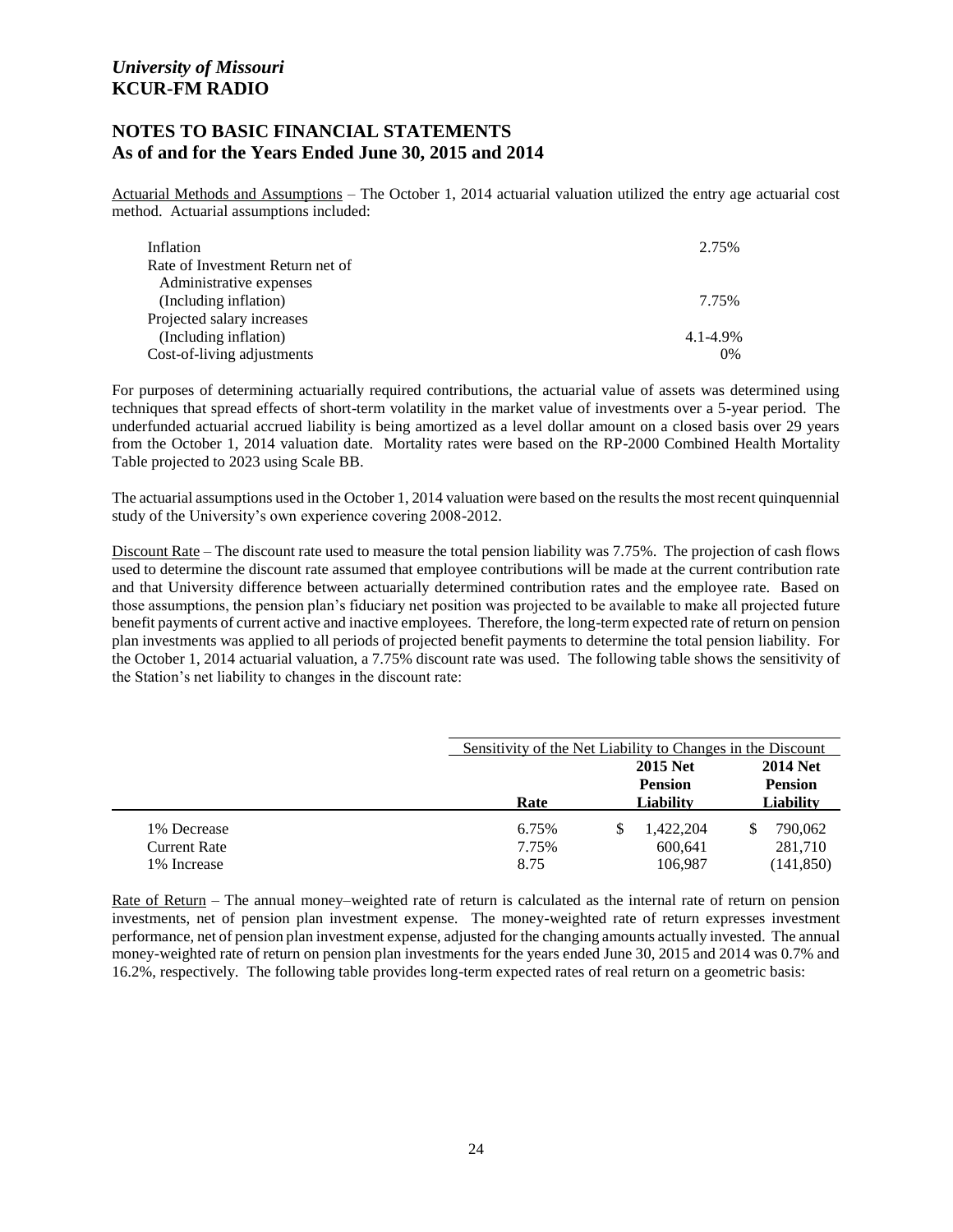Actuarial Methods and Assumptions – The October 1, 2014 actuarial valuation utilized the entry age actuarial cost method. Actuarial assumptions included:

| Inflation                        | 2.75%         |
|----------------------------------|---------------|
| Rate of Investment Return net of |               |
| Administrative expenses          |               |
| (Including inflation)            | 7.75%         |
| Projected salary increases       |               |
| (Including inflation)            | $4.1 - 4.9\%$ |
| Cost-of-living adjustments       | $0\%$         |

For purposes of determining actuarially required contributions, the actuarial value of assets was determined using techniques that spread effects of short-term volatility in the market value of investments over a 5-year period. The underfunded actuarial accrued liability is being amortized as a level dollar amount on a closed basis over 29 years from the October 1, 2014 valuation date. Mortality rates were based on the RP-2000 Combined Health Mortality Table projected to 2023 using Scale BB.

The actuarial assumptions used in the October 1, 2014 valuation were based on the results the most recent quinquennial study of the University's own experience covering 2008-2012.

Discount Rate – The discount rate used to measure the total pension liability was 7.75%. The projection of cash flows used to determine the discount rate assumed that employee contributions will be made at the current contribution rate and that University difference between actuarially determined contribution rates and the employee rate. Based on those assumptions, the pension plan's fiduciary net position was projected to be available to make all projected future benefit payments of current active and inactive employees. Therefore, the long-term expected rate of return on pension plan investments was applied to all periods of projected benefit payments to determine the total pension liability. For the October 1, 2014 actuarial valuation, a 7.75% discount rate was used. The following table shows the sensitivity of the Station's net liability to changes in the discount rate:

|                                    |                |                                                | Sensitivity of the Net Liability to Changes in the Discount |  |
|------------------------------------|----------------|------------------------------------------------|-------------------------------------------------------------|--|
|                                    | Rate           | <b>2015 Net</b><br><b>Pension</b><br>Liability | <b>2014 Net</b><br><b>Pension</b><br><b>Liability</b>       |  |
| 1% Decrease<br><b>Current Rate</b> | 6.75%<br>7.75% | 1.422.204                                      | 790,062<br>281,710<br>600,641                               |  |
| 1% Increase                        | 8.75           |                                                | 106,987<br>(141, 850)                                       |  |

Rate of Return – The annual money–weighted rate of return is calculated as the internal rate of return on pension investments, net of pension plan investment expense. The money-weighted rate of return expresses investment performance, net of pension plan investment expense, adjusted for the changing amounts actually invested. The annual money-weighted rate of return on pension plan investments for the years ended June 30, 2015 and 2014 was 0.7% and 16.2%, respectively. The following table provides long-term expected rates of real return on a geometric basis: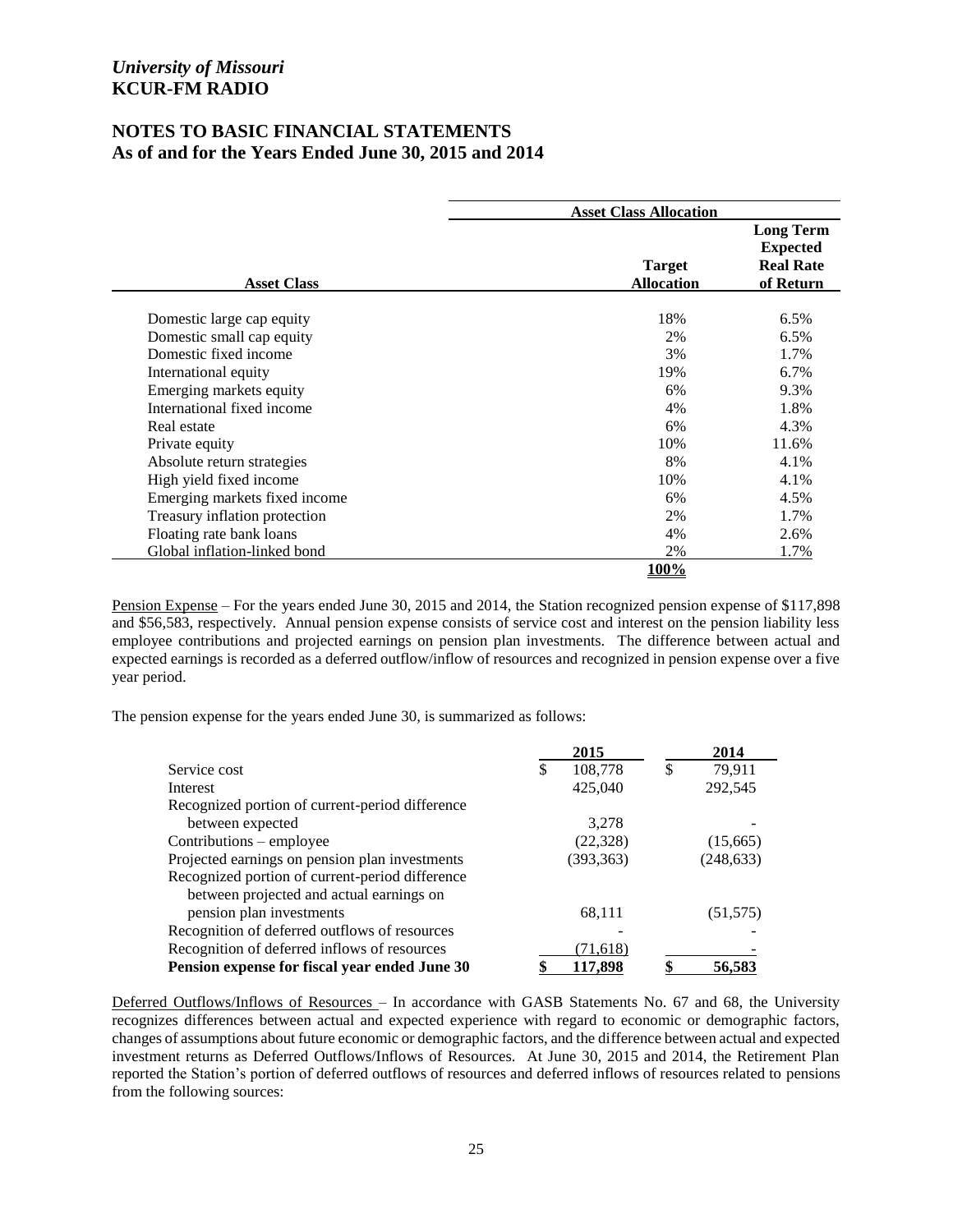### **NOTES TO BASIC FINANCIAL STATEMENTS As of and for the Years Ended June 30, 2015 and 2014**

|                               | <b>Asset Class Allocation</b>      |                                                                      |  |
|-------------------------------|------------------------------------|----------------------------------------------------------------------|--|
| <b>Asset Class</b>            | <b>Target</b><br><b>Allocation</b> | <b>Long Term</b><br><b>Expected</b><br><b>Real Rate</b><br>of Return |  |
| Domestic large cap equity     | 18%                                | 6.5%                                                                 |  |
| Domestic small cap equity     | 2%                                 | 6.5%                                                                 |  |
| Domestic fixed income         | 3%                                 | 1.7%                                                                 |  |
| International equity          | 19%                                | 6.7%                                                                 |  |
| Emerging markets equity       | 6%                                 | 9.3%                                                                 |  |
| International fixed income    | 4%                                 | 1.8%                                                                 |  |
| Real estate                   | 6%                                 | 4.3%                                                                 |  |
| Private equity                | 10%                                | 11.6%                                                                |  |
| Absolute return strategies    | 8%                                 | 4.1%                                                                 |  |
| High yield fixed income       | 10%                                | 4.1%                                                                 |  |
| Emerging markets fixed income | 6%                                 | 4.5%                                                                 |  |
| Treasury inflation protection | 2%                                 | 1.7%                                                                 |  |
| Floating rate bank loans      | 4%                                 | 2.6%                                                                 |  |
| Global inflation-linked bond  | 2%                                 | 1.7%                                                                 |  |
|                               | 100%                               |                                                                      |  |

Pension Expense – For the years ended June 30, 2015 and 2014, the Station recognized pension expense of \$117,898 and \$56,583, respectively. Annual pension expense consists of service cost and interest on the pension liability less employee contributions and projected earnings on pension plan investments. The difference between actual and expected earnings is recorded as a deferred outflow/inflow of resources and recognized in pension expense over a five year period.

The pension expense for the years ended June 30, is summarized as follows:

|                                                 |   | 2015       |   | 2014       |
|-------------------------------------------------|---|------------|---|------------|
| Service cost                                    | S | 108,778    | S | 79.911     |
| Interest                                        |   | 425,040    |   | 292,545    |
| Recognized portion of current-period difference |   |            |   |            |
| between expected                                |   | 3,278      |   |            |
| Contributions – employee                        |   | (22, 328)  |   | (15,665)   |
| Projected earnings on pension plan investments  |   | (393, 363) |   | (248, 633) |
| Recognized portion of current-period difference |   |            |   |            |
| between projected and actual earnings on        |   |            |   |            |
| pension plan investments                        |   | 68,111     |   | (51, 575)  |
| Recognition of deferred outflows of resources   |   |            |   |            |
| Recognition of deferred inflows of resources    |   | (71, 618)  |   |            |
| Pension expense for fiscal year ended June 30   |   | 117,898    |   | 56,583     |

Deferred Outflows/Inflows of Resources – In accordance with GASB Statements No. 67 and 68, the University recognizes differences between actual and expected experience with regard to economic or demographic factors, changes of assumptions about future economic or demographic factors, and the difference between actual and expected investment returns as Deferred Outflows/Inflows of Resources. At June 30, 2015 and 2014, the Retirement Plan reported the Station's portion of deferred outflows of resources and deferred inflows of resources related to pensions from the following sources: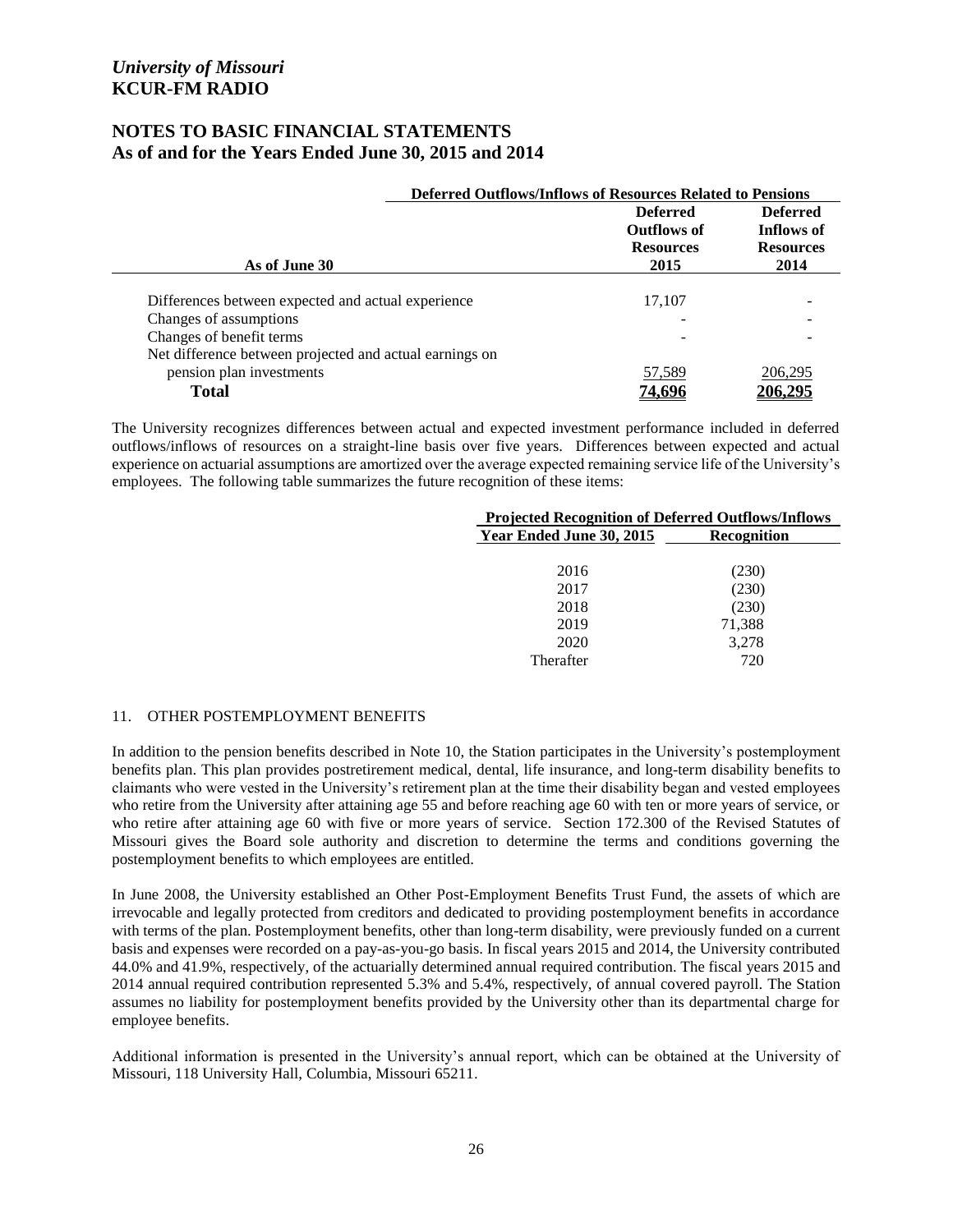|                                                         | <b>Deferred Outflows/Inflows of Resources Related to Pensions</b> |                  |  |  |  |
|---------------------------------------------------------|-------------------------------------------------------------------|------------------|--|--|--|
|                                                         | <b>Deferred</b>                                                   | <b>Deferred</b>  |  |  |  |
|                                                         | <b>Outflows of</b>                                                | Inflows of       |  |  |  |
|                                                         | <b>Resources</b>                                                  | <b>Resources</b> |  |  |  |
| As of June 30                                           | 2015                                                              | 2014             |  |  |  |
|                                                         |                                                                   |                  |  |  |  |
| Differences between expected and actual experience      | 17,107                                                            |                  |  |  |  |
| Changes of assumptions                                  | -                                                                 |                  |  |  |  |
| Changes of benefit terms                                |                                                                   |                  |  |  |  |
| Net difference between projected and actual earnings on |                                                                   |                  |  |  |  |
| pension plan investments                                | 57,589                                                            | 206,295          |  |  |  |
| Total                                                   | <u>74,696</u>                                                     | <u>206,295</u>   |  |  |  |

The University recognizes differences between actual and expected investment performance included in deferred outflows/inflows of resources on a straight-line basis over five years. Differences between expected and actual experience on actuarial assumptions are amortized over the average expected remaining service life of the University's employees. The following table summarizes the future recognition of these items:

| <b>Projected Recognition of Deferred Outflows/Inflows</b> |             |
|-----------------------------------------------------------|-------------|
| Year Ended June 30, 2015                                  | Recognition |
| 2016                                                      | (230)       |
| 2017                                                      | (230)       |
| 2018                                                      | (230)       |
| 2019                                                      | 71,388      |
| 2020                                                      | 3,278       |
| Therafter                                                 | 720         |

#### 11. OTHER POSTEMPLOYMENT BENEFITS

In addition to the pension benefits described in Note 10, the Station participates in the University's postemployment benefits plan. This plan provides postretirement medical, dental, life insurance, and long-term disability benefits to claimants who were vested in the University's retirement plan at the time their disability began and vested employees who retire from the University after attaining age 55 and before reaching age 60 with ten or more years of service, or who retire after attaining age 60 with five or more years of service. Section 172.300 of the Revised Statutes of Missouri gives the Board sole authority and discretion to determine the terms and conditions governing the postemployment benefits to which employees are entitled.

In June 2008, the University established an Other Post-Employment Benefits Trust Fund, the assets of which are irrevocable and legally protected from creditors and dedicated to providing postemployment benefits in accordance with terms of the plan. Postemployment benefits, other than long-term disability, were previously funded on a current basis and expenses were recorded on a pay-as-you-go basis. In fiscal years 2015 and 2014, the University contributed 44.0% and 41.9%, respectively, of the actuarially determined annual required contribution. The fiscal years 2015 and 2014 annual required contribution represented 5.3% and 5.4%, respectively, of annual covered payroll. The Station assumes no liability for postemployment benefits provided by the University other than its departmental charge for employee benefits.

Additional information is presented in the University's annual report, which can be obtained at the University of Missouri, 118 University Hall, Columbia, Missouri 65211.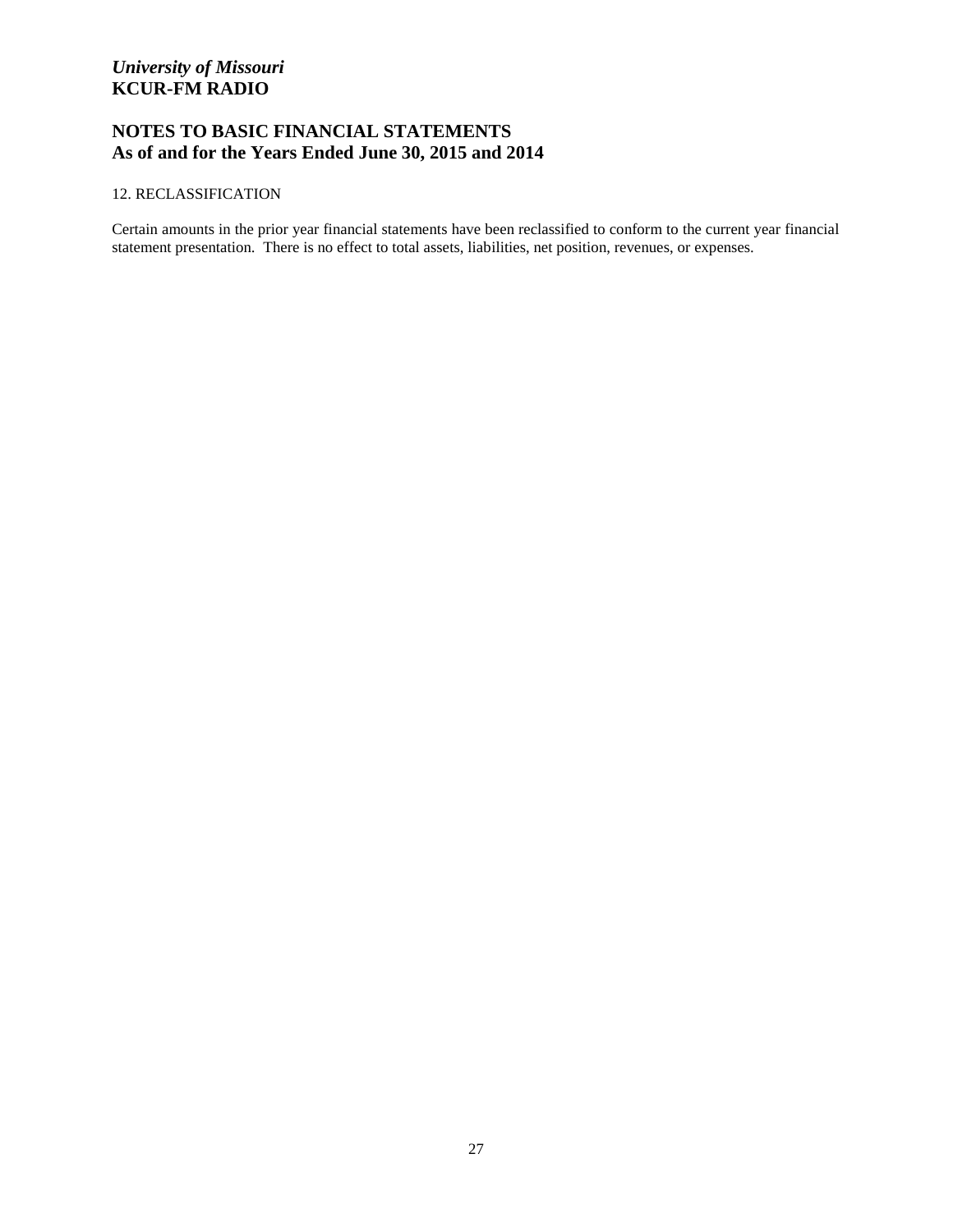# **NOTES TO BASIC FINANCIAL STATEMENTS As of and for the Years Ended June 30, 2015 and 2014**

#### 12. RECLASSIFICATION

Certain amounts in the prior year financial statements have been reclassified to conform to the current year financial statement presentation. There is no effect to total assets, liabilities, net position, revenues, or expenses.